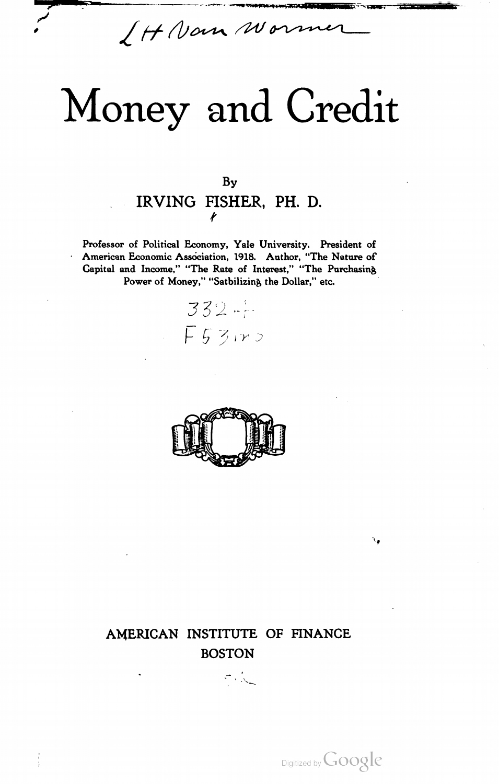IH Nam Wormer

# Money and Credit

## By

# IRVING FISHER, PH. D. ;/

Professor of Political Economy, Yale University. President of American Economic Association, 1918. Author, "The Nature of Capital and Income," "The Rate of Interest," "The Purchasing Power of Money," "Satbilizing the Dollar," etc.

352-,  $F53m3$ 



# AMERICAN INSTITUTE OF FINANCE BOSTON

 $\sigma_{\rm max}$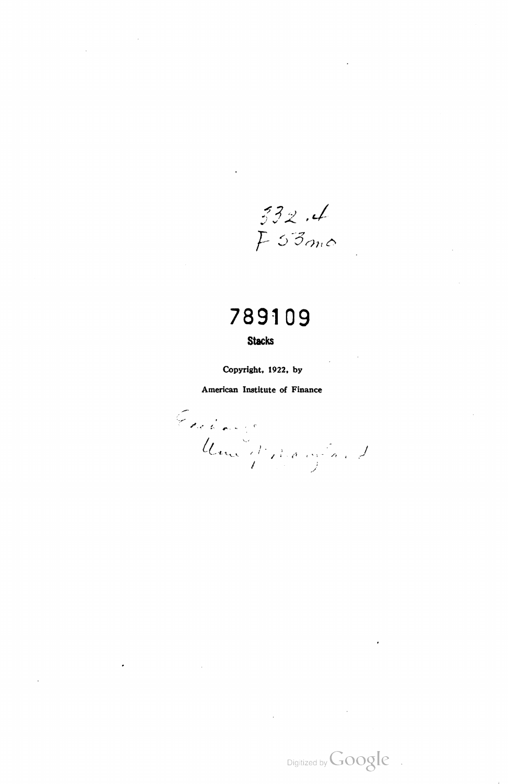$532.4$  $F53$ mo

# 789109

#### **Stacks**

Copyright. 1922. by

American Institute of Finance

Guiday Amistranian

 $\overline{\phantom{a}}$ 

 $\text{Digital by Google}$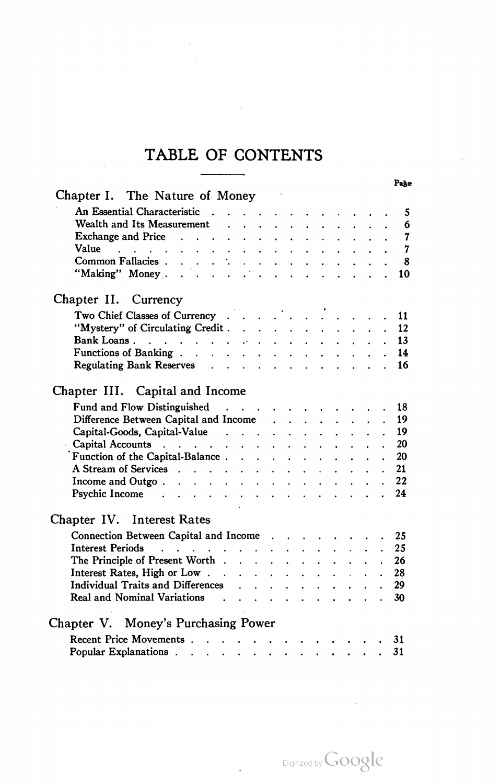# TABLE OF CONTENTS

 $\mathcal{L}^{\text{max}}_{\text{max}}$ 

|                                                                                                                                                                                                                               |              |                                                         |                      |                                                             |                      |                                            |                             |                           |                                                                                                                                                                                                                                               |                              |                      | Pake |
|-------------------------------------------------------------------------------------------------------------------------------------------------------------------------------------------------------------------------------|--------------|---------------------------------------------------------|----------------------|-------------------------------------------------------------|----------------------|--------------------------------------------|-----------------------------|---------------------------|-----------------------------------------------------------------------------------------------------------------------------------------------------------------------------------------------------------------------------------------------|------------------------------|----------------------|------|
| Chapter I. The Nature of Money                                                                                                                                                                                                |              |                                                         |                      |                                                             |                      |                                            |                             |                           |                                                                                                                                                                                                                                               |                              |                      |      |
| An Essential Characteristic                                                                                                                                                                                                   |              |                                                         |                      |                                                             |                      |                                            |                             |                           | $\mathbf{r}$ , $\mathbf{r}$ , $\mathbf{r}$ , $\mathbf{r}$                                                                                                                                                                                     |                              |                      | 5    |
| Wealth and Its Measurement                                                                                                                                                                                                    | $\mathbf{r}$ | $\mathbf{r}$                                            | $\ddot{\phantom{a}}$ |                                                             |                      | $\ddot{\phantom{a}}$                       |                             | $\mathbf{r}$              | $\sim$ $\sim$                                                                                                                                                                                                                                 |                              |                      | 6    |
| Exchange and Price                                                                                                                                                                                                            |              |                                                         | $\ddot{\phantom{0}}$ | $\ddot{\phantom{0}}$                                        | $\ddot{\phantom{0}}$ | $\ddot{\phantom{a}}$                       |                             | $\mathbf{z} = \mathbf{z}$ | $\mathbf{r} = \mathbf{r} \cdot \mathbf{r}$                                                                                                                                                                                                    |                              |                      | 7    |
| Value<br>$\mathcal{A}$ . The second contribution of $\mathcal{A}$                                                                                                                                                             |              |                                                         |                      | $\mathbf{r} = \mathbf{r} + \mathbf{r}$ , where $\mathbf{r}$ |                      | $\mathbf{r} = \mathbf{r} \cdot \mathbf{r}$ |                             |                           | $\mathbf{r} = \mathbf{r} + \mathbf{r}$ .                                                                                                                                                                                                      |                              | $\ddot{\phantom{0}}$ | 7    |
| Common Fallacies $\cdots$ $\cdots$ $\cdots$                                                                                                                                                                                   |              |                                                         |                      |                                                             |                      |                                            |                             |                           | $\mathbf{r}$ , and $\mathbf{r}$ , and $\mathbf{r}$                                                                                                                                                                                            |                              |                      | 8    |
| "Making" Money                                                                                                                                                                                                                |              | $\mathcal{L}^{\text{max}}$ , $\mathcal{L}^{\text{max}}$ | $\mathcal{L}$        | $\sim 100$                                                  |                      | $\cdot$ $\cdot$ $\cdot$ $\cdot$            |                             |                           | $\mathbf{A}$                                                                                                                                                                                                                                  |                              |                      | 10   |
| Chapter II. Currency                                                                                                                                                                                                          |              |                                                         |                      |                                                             |                      |                                            |                             |                           |                                                                                                                                                                                                                                               |                              |                      |      |
| Two Chief Classes of Currency                                                                                                                                                                                                 |              |                                                         |                      |                                                             |                      |                                            |                             |                           |                                                                                                                                                                                                                                               |                              |                      | 11   |
| "Mystery" of Circulating Credit                                                                                                                                                                                               |              |                                                         |                      |                                                             |                      |                                            | $\ddot{\phantom{0}}$        | $\ddot{\phantom{a}}$      | $\sim 10^{-1}$                                                                                                                                                                                                                                |                              |                      | 12   |
| Bank Loans                                                                                                                                                                                                                    |              | $\mathbf{r}^{(k)}$ .                                    |                      | $\mathbf{r} = \mathbf{r}$                                   | $\mathbf{r}$         | $\ddot{\phantom{a}}$                       | $\mathbf{r}$                | $\ddot{\phantom{a}}$      | $\sim$ $\sim$                                                                                                                                                                                                                                 |                              |                      | 13   |
| Functions of Banking                                                                                                                                                                                                          |              | $\mathbf{r}$                                            |                      |                                                             |                      | $\sim$                                     |                             |                           | $\mathbf{r}$ and $\mathbf{r}$                                                                                                                                                                                                                 |                              |                      | 14   |
| Regulating Bank Reserves                                                                                                                                                                                                      |              |                                                         |                      |                                                             |                      |                                            |                             |                           | $\mathbf{r} = \mathbf{r} - \mathbf{r}$ . The set of the set of the set of the set of the set of the set of the set of the set of the set of the set of the set of the set of the set of the set of the set of the set of the set of the set o |                              |                      | 16   |
|                                                                                                                                                                                                                               |              |                                                         |                      |                                                             |                      |                                            |                             |                           |                                                                                                                                                                                                                                               |                              |                      |      |
| Chapter III. Capital and Income                                                                                                                                                                                               |              |                                                         |                      |                                                             |                      |                                            |                             |                           |                                                                                                                                                                                                                                               |                              |                      |      |
| Fund and Flow Distinguished                                                                                                                                                                                                   |              |                                                         |                      |                                                             |                      |                                            |                             |                           |                                                                                                                                                                                                                                               |                              |                      | 18   |
| Difference Between Capital and Income                                                                                                                                                                                         |              |                                                         |                      | $\mathbf{r}$                                                | $\ddot{\phantom{a}}$ | $\ddot{\phantom{a}}$                       |                             |                           |                                                                                                                                                                                                                                               |                              |                      | 19   |
| Capital-Goods, Capital-Value                                                                                                                                                                                                  |              |                                                         |                      | $\ddot{\phantom{0}}$                                        | $\ddot{\phantom{a}}$ | $\cdot$                                    | $\ddot{\phantom{a}}$        | $\cdot$                   |                                                                                                                                                                                                                                               |                              |                      | 19   |
| Capital Accounts                                                                                                                                                                                                              |              |                                                         |                      | $\mathbf{L}$                                                | $\mathbf{r}$         | $\mathbf{r}$                               | $\mathbf{r}$                | $\ddot{\phantom{0}}$      |                                                                                                                                                                                                                                               |                              |                      | 20   |
| Function of the Capital-Balance                                                                                                                                                                                               |              |                                                         |                      | $\mathbf{r}$                                                | $\cdot$              | $\ddot{\phantom{0}}$                       | $\mathbf{r}$                | $\sim$ $\sim$             | $\ddot{\phantom{0}}$                                                                                                                                                                                                                          |                              |                      | 20   |
| A Stream of Services                                                                                                                                                                                                          |              |                                                         |                      | $\ddot{\phantom{0}}$                                        | $\mathbf{r}$         | $\ddot{\phantom{0}}$                       |                             | $\ddot{\phantom{0}}$      |                                                                                                                                                                                                                                               | $\mathbf{r}$                 |                      | 21   |
| Income and Outgo $\cdots$ $\cdots$ $\cdots$                                                                                                                                                                                   |              |                                                         |                      | $\ddot{\phantom{a}}$                                        |                      | $\ddot{\phantom{a}}$                       |                             |                           |                                                                                                                                                                                                                                               |                              |                      | 22   |
| Psychic Income                                                                                                                                                                                                                |              |                                                         |                      |                                                             |                      |                                            |                             |                           |                                                                                                                                                                                                                                               |                              |                      | 24   |
| Chapter IV. Interest Rates                                                                                                                                                                                                    |              |                                                         |                      |                                                             |                      |                                            |                             |                           |                                                                                                                                                                                                                                               |                              |                      |      |
| Connection Between Capital and Income                                                                                                                                                                                         |              |                                                         |                      |                                                             |                      |                                            | $\sim$ $\sim$ $\sim$ $\sim$ |                           |                                                                                                                                                                                                                                               |                              |                      | 25   |
| Interest Periods                                                                                                                                                                                                              |              |                                                         |                      |                                                             |                      |                                            |                             |                           |                                                                                                                                                                                                                                               |                              |                      | 25   |
| The Principle of Present Worth                                                                                                                                                                                                |              |                                                         |                      | $\mathbf{r}$                                                | $\ddot{\phantom{a}}$ | $\mathbf{r}$                               | $\ddot{\phantom{a}}$        | $\ddot{\phantom{a}}$      | ÷.                                                                                                                                                                                                                                            |                              |                      | 26   |
| Interest Rates, High or Low                                                                                                                                                                                                   |              |                                                         |                      |                                                             |                      | $\ddot{\phantom{0}}$                       | $\ddot{\phantom{a}}$        | $\sim$ $\sim$             |                                                                                                                                                                                                                                               | $\mathcal{L}^{\text{max}}$ . |                      | 28   |
| Individual Traits and Differences                                                                                                                                                                                             |              |                                                         |                      |                                                             |                      |                                            |                             |                           |                                                                                                                                                                                                                                               |                              |                      | 29   |
| Real and Nominal Variations (e.g. in the case of the contract of the contract of the contract of the contract of the contract of the contract of the contract of the contract of the contract of the contract of the contract |              |                                                         |                      |                                                             |                      |                                            |                             |                           |                                                                                                                                                                                                                                               |                              |                      | 30   |
| Money's Purchasing Power<br>Chapter V.                                                                                                                                                                                        |              |                                                         |                      |                                                             |                      |                                            |                             |                           |                                                                                                                                                                                                                                               |                              |                      |      |
|                                                                                                                                                                                                                               |              |                                                         |                      |                                                             |                      |                                            |                             |                           |                                                                                                                                                                                                                                               |                              |                      |      |
| <b>Recent Price Movements.</b>                                                                                                                                                                                                |              |                                                         |                      |                                                             |                      |                                            |                             |                           |                                                                                                                                                                                                                                               |                              |                      | 31   |
| Popular Explanations                                                                                                                                                                                                          |              |                                                         |                      |                                                             |                      |                                            |                             |                           |                                                                                                                                                                                                                                               |                              |                      | 31   |

 $\ddot{\phantom{a}}$ 

Digitized by Google

 $\mathcal{L}^{\text{max}}_{\text{max}}$  and  $\mathcal{L}^{\text{max}}_{\text{max}}$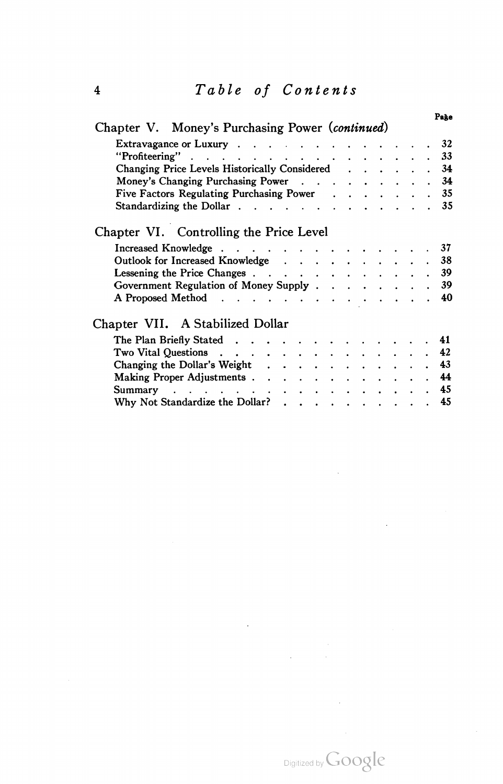# <sup>4</sup> Table of Contents

| Chapter V. Money's Purchasing Power (continued)                           |  |  |  |  |  | Page |
|---------------------------------------------------------------------------|--|--|--|--|--|------|
| Extravagance or Luxury                                                    |  |  |  |  |  | 32   |
| "Profiteering"                                                            |  |  |  |  |  | 33   |
| Changing Price Levels Historically Considered                             |  |  |  |  |  | 34   |
| Money's Changing Purchasing Power                                         |  |  |  |  |  | 34   |
| Five Factors Regulating Purchasing Power                                  |  |  |  |  |  | 35   |
| Standardizing the Dollar $\cdots$ $\cdots$ $\cdots$ $\cdots$ $\cdots$     |  |  |  |  |  | 35   |
| Chapter VI. Controlling the Price Level                                   |  |  |  |  |  |      |
| Increased Knowledge                                                       |  |  |  |  |  | 37   |
| Outlook for Increased Knowledge                                           |  |  |  |  |  | 38   |
| Lessening the Price Changes                                               |  |  |  |  |  | 39   |
| Government Regulation of Money Supply                                     |  |  |  |  |  | 39   |
| A Proposed Method                                                         |  |  |  |  |  | 40   |
| Chapter VII. A Stabilized Dollar                                          |  |  |  |  |  |      |
| The Plan Briefly Stated                                                   |  |  |  |  |  | 41   |
| Two Vital Questions $\cdots$ $\cdots$ $\cdots$ $\cdots$ $\cdots$ $\cdots$ |  |  |  |  |  | 42   |
| Changing the Dollar's Weight                                              |  |  |  |  |  | 43   |
| Making Proper Adjustments                                                 |  |  |  |  |  | 44   |
| Summary                                                                   |  |  |  |  |  | 45   |
| Why Not Standardize the Dollar? $\ldots$ $\ldots$ $\ldots$ $\ldots$       |  |  |  |  |  | 45   |
|                                                                           |  |  |  |  |  |      |

 $\sim 10^{-10}$ 

 $\label{eq:2.1} \begin{split} \mathcal{L}_{\text{max}}(\mathbf{r}) = \mathcal{L}_{\text{max}}(\mathbf{r}) \,, \end{split}$ 

 $\sim 10^6$ 

Digitized by Google

 $\mathbb{Z}^2$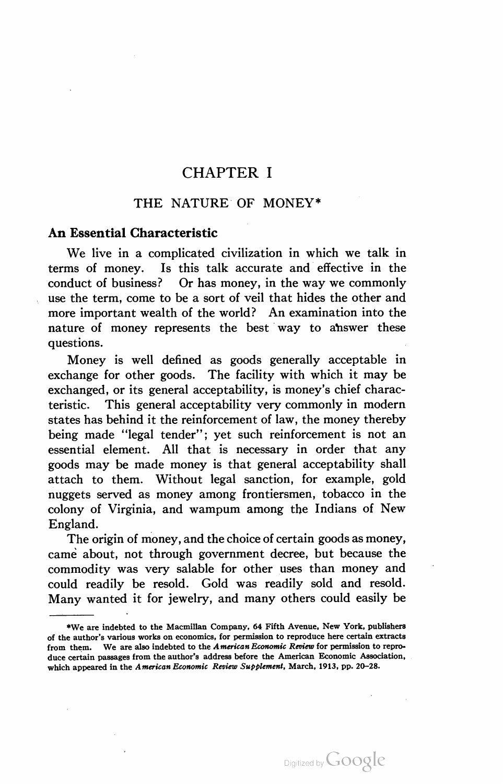# CHAPTER <sup>I</sup>

### THE NATURE OF MONEY\*

#### An Essential Characteristic

We live in <sup>a</sup> complicated civilization in which we talk in terms of money. Is this talk accurate and effective in the conduct of business? Or has money, in the way we commonly use the term, come to be a sort of veil that hides the other and more important wealth of the world? An examination into the nature of money represents the best way to answer these questions.

Money is well defined as goods generally acceptable in exchange for other goods. The facility with which it may be exchanged, or its general acceptability, is money's chief charac teristic. This general acceptability very commonly in modern states has behind it the reinforcement of law, the money thereby being made "legal tender"; yet such reinforcement is not an essential element. All that is necessary in order that any goods may be made money is that general acceptability shall attach to them. Without legal sanction, for example, gold nuggets served as money among frontiersmen, tobacco in the colony of Virginia, and wampum among the Indians of New England.

The origin of money, and the choice of certain goods as money, came about, not through government decree, but because the commodity was very salable for other uses than money and could readily be resold. Gold was readily sold and resold. Many wanted it for jewelry, and many others could easily be

<sup>\*</sup>We are indebted to the Macmillan Company, 64 Fifth Avenue, New York, publishers of the author's various works on economics. for permission to reproduce here certain extracts from them. We are also indebted to the American Economic Review for permission to reproduce certain passages from the author's address before the American Economic Association, which appeared in the American Economic Review Supplement, March, 1913, pp. 20-28.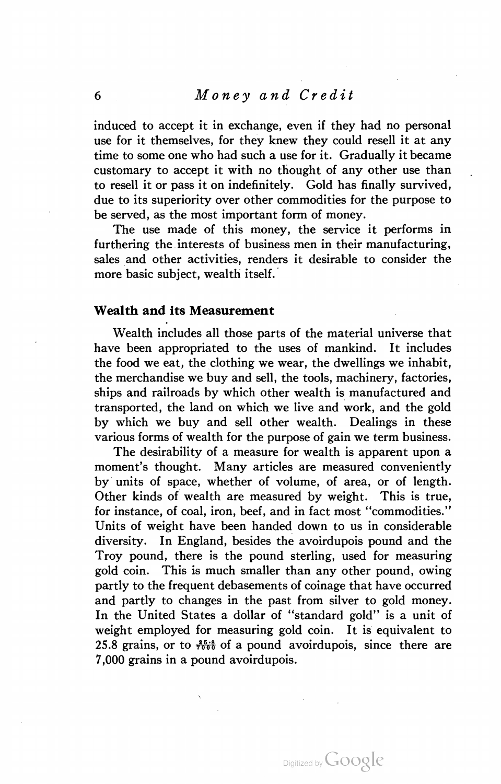induced to accept it in exchange, even if they had no personal use for it themselves, for they knew they could resell it at any time to some one who had such a use for it. Gradually it became customary to accept it with no thought of any other use than to resell it or pass it on indefinitely. Gold has finally survived, due to its superiority over other commodities for the purpose to be served, as the most important form of money.

The use made of this money, the service it performs in furthering the interests of business men in their manufacturing, sales and other activities, renders it desirable to consider the more basic subject, wealth itself.'

#### Wealth and its Measurement

Wealth includes all those parts of the material universe that have been appropriated to the uses of mankind. It includes the food we eat, the clothing we wear, the dwellings we inhabit, the merchandise we buy and sell, the tools, machinery, factories, ships and railroads by which other wealth is manufactured and transported, the land on which we live and work, and the gold by which we buy and sell other wealth. Dealings in these various forms of wealth for the purpose of gain we term business.

The desirability of a measure for wealth is apparent upon a moment's thought. Many articles are measured conveniently by units of space, whether of volume, of area, or of length. Other kinds of wealth are measured by weight. This is true, for instance, of coal, iron, beef, and in fact most "commodities." Units of weight have been handed down to us in considerable diversity. In England, besides the avoirdupois pound and the Troy pound, there is the pound sterling, used for measuring gold coin. This is much smaller than any other pound, owing partly to the frequent debasements of coinage that have occurred and partly to changes in the past from silver to gold money. In the United States a dollar of "standard gold" is a unit of weight employed for measuring gold coin. It is equivalent to 25.8 grains, or to  $\frac{25.8}{1000}$  of a pound avoirdupois, since there are 7,000 grains in a pound avoirdupois.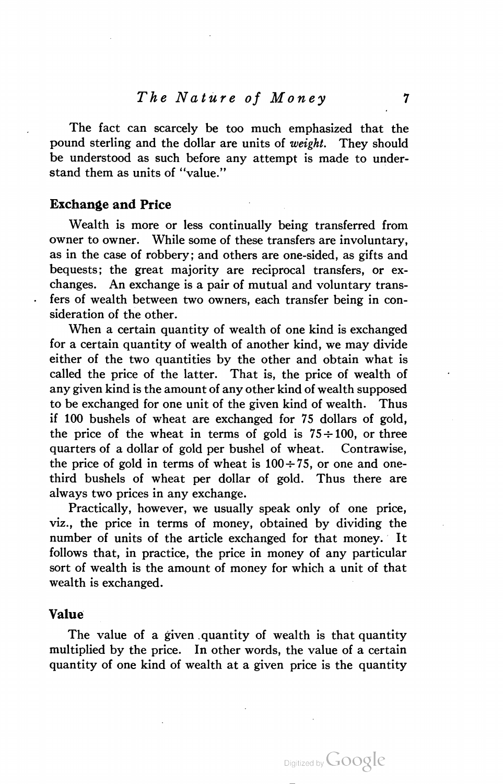The fact can scarcely be too much emphasized that the pound sterling and the dollar are units of weight. They should be understood as such before any attempt is made to under stand them as units of "value."

#### Exchange and Price

Wealth is more or less continually being transferred from owner to owner. While some of these transfers are involuntary, as in the case of robbery; and others are one-sided, as gifts and bequests; the great majority are reciprocal transfers, or ex changes. An exchange is a pair of mutual and voluntary trans fers of wealth between two owners, each transfer being in con sideration of the other.

When a certain quantity of wealth of one kind is exchanged for a certain quantity of wealth of another kind, we may divide either of the two quantities by the other and obtain what is called the price of the latter. That is, the price of wealth of any given kind is the amount of any other kind of wealth supposed to be exchanged for one unit of the given kind of wealth. Thus if 100 bushels of wheat are exchanged for 75 dollars of gold, the price of the wheat in terms of gold is  $75 \div 100$ , or three quarters of a dollar of gold per bushel of wheat. Contrawise, the price of gold in terms of wheat is  $100 \div 75$ , or one and onethird bushels of wheat per dollar of gold. Thus there are always two prices in any exchange.

Practically, however, we usually speak only of one price, viz., the price in terms of money, obtained by dividing the number of units of the article exchanged for that money. It follows that, in practice, the price in money of any particular sort of wealth is the amount of money for which a unit of that wealth is exchanged.

#### Value

The value of a given quantity of wealth is that quantity multiplied by the price. In other words, the value of a certain quantity of one kind of wealth at a given price is the quantity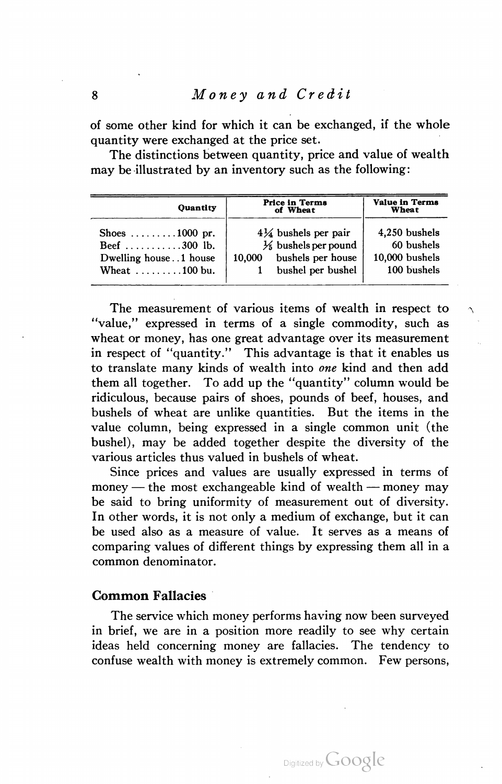of some other kind for which it can be exchanged, if the whole quantity were exchanged at the price set.

The distinctions between quantity, price and value of wealth may be illustrated by an inventory such as the following:

| <b>Ouantity</b>                                                                                               | <b>Price in Terms</b><br>of Wheat                                                                                      | <b>Value in Terms</b><br><b>Wheat</b>                          |
|---------------------------------------------------------------------------------------------------------------|------------------------------------------------------------------------------------------------------------------------|----------------------------------------------------------------|
| Shoes $\dots \dots \dots 1000$ pr.<br>Beef 300 lb.<br>Dwelling house1 house<br>Wheat $\dots\dots\dots100$ bu. | $4\frac{1}{4}$ bushels per pair<br>$\frac{1}{2}$ bushels per pound<br>bushels per house<br>10,000<br>bushel per bushel | 4,250 bushels<br>60 bushels<br>$10,000$ bushels<br>100 bushels |

The measurement of various items of wealth in respect to "value," expressed in terms of a single commodity, such as wheat or money, has one great advantage over its measurement in respect of "quantity." This advantage is that it enables us to translate many kinds of wealth into one kind and then add them all together. To add up the "quantity" column would be ridiculous, because pairs of shoes, pounds of beef, houses, and bushels of wheat are unlike quantities. But the items in the value column, being expressed in a single common unit (the bushel), may be added together despite the diversity of the various articles thus valued in bushels of wheat.

Since prices and values are usually expressed in terms of money — the most exchangeable kind of wealth — money may be said to bring uniformity of measurement out of diversity. In other words, it is not only a medium of exchange, but it can be used also as a measure of value. It serves as a means of comparing values of different things by expressing them all in a common denominator.

#### Common Fallacies

The service which money performs having now been surveyed in brief, we are in a position more readily to see why certain ideas held concerning money are fallacies. The tendency to confuse wealth with money is extremely common. Few persons,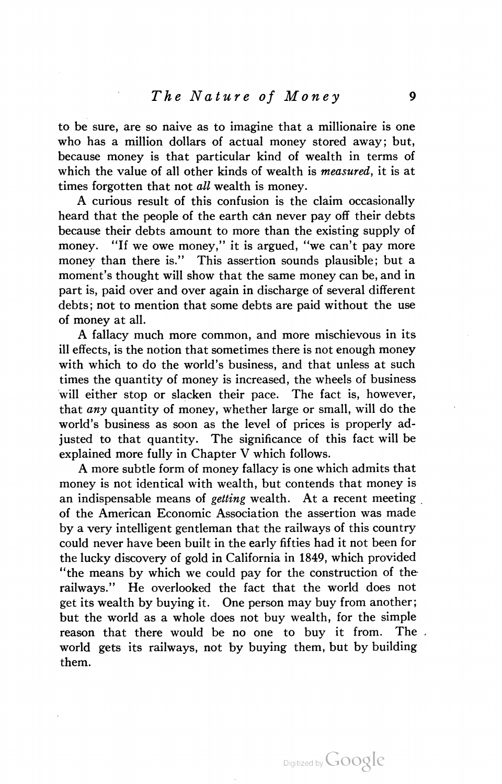to be sure, are so naive as to imagine that a millionaire is one who has a million dollars of actual money stored away; but, because money is that particular kind of wealth in terms of which the value of all other kinds of wealth is *measured*, it is at times forgotten that not all wealth is money.

A curious result of this confusion is the claim occasionally heard that the people of the earth can never pay off their debts because their debts amount to more than the existing supply of money. "If we owe money," it is argued, "we can't pay more money than there is." This assertion sounds plausible; but a moment's thought will show that the same money can be, and in part is, paid over and over again in discharge of several different debts; not to mention that some debts are paid without the use of money at all.

A fallacy much more common, and more mischievous in its ill effects, is the notion that sometimes there is not enough money with which to do the world's business, and that unless at such times the quantity of money is increased, the wheels of business will either stop or slacken their pace. The fact is, however, that any quantity of money, whether large or small, will do the world's business as soon as the level of prices is properly ad justed to that quantity. The significance of this fact will be explained more fully in Chapter V which follows.

A more subtle form of money fallacy is one which admits that money is not identical with wealth, but contends that money is an indispensable means of *getting* wealth. At a recent meeting of the American Economic Association the assertion was made by a very intelligent gentleman that the railways of this country could never have been built in the early fifties had it not been for the lucky discovery of gold in California in 1849, which provided "the means by which we could pay for the construction of the railways." He overlooked the fact that the world does not get its wealth by buying it. One person may buy from another; but the world as a whole does not buy wealth, for the simple reason that there would be no one to buy it from. The . world gets its railways, not by buying them, but by building them.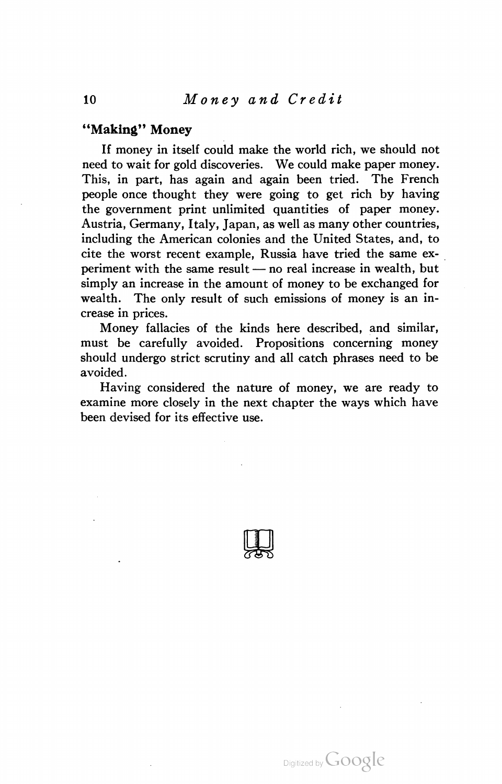## "Making" Money

If money in itself could make the world rich, we should not need to wait for gold discoveries. We could make paper money. This, in part, has again and again been tried. The French people once thought they were going to get rich by having the government print unlimited quantities of paper money. Austria, Germany, Italy, Japan, as well as many other countries, including the American colonies and the United States, and, to cite the worst recent example, Russia have tried the same ex- . periment with the same result — no real increase in wealth, but simply an increase in the amount of money to be exchanged for wealth. The only result of such emissions of money is an in crease in prices.

Money fallacies of the kinds here described, and similar, must be carefully avoided. Propositions concerning money should undergo strict scrutiny and all catch phrases need to be avoided.

Having considered the nature of money, we are ready to examine more closely in the next chapter the ways which have been devised for its effective use.

**Q** 

Digitized by Google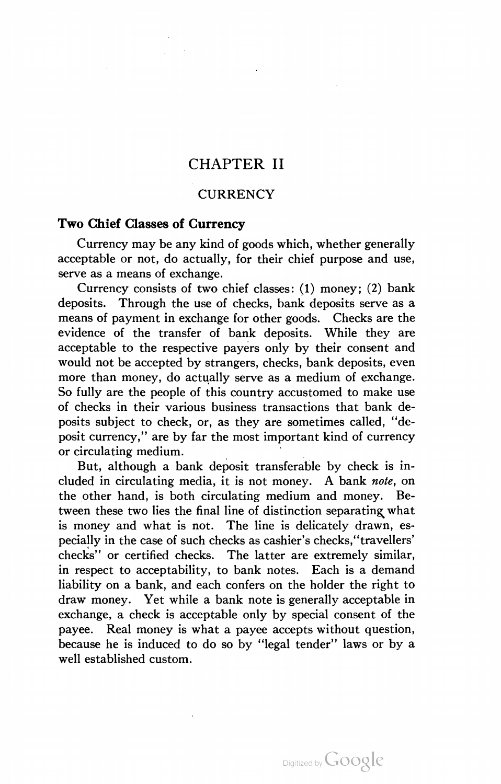# CHAPTER II

#### **CURRENCY**

#### Two Chief Classes of Currency

Currency may be any kind of goods which, whether generally acceptable or not, do actually, for their chief purpose and use, serve as a means of exchange.

Currency consists of two chief classes: (1) money; (2) bank deposits. Through the use of checks, bank deposits serve as a means of payment in exchange for other goods. Checks are the evidence of the transfer of bank deposits. While they are acceptable to the respective payers only by their consent and would not be accepted by strangers, checks, bank deposits, even more than money, do actually serve as a medium of exchange. So fully are the people of this country accustomed to make use of checks in their various business transactions that bank de posits subject to check, or, as they are sometimes called, "de posit currency," are by far the most important kind of currency or circulating medium.

But, although a bank deposit transferable by check is in cluded in circulating media, it is not money. A bank note, on the other hand, is both circulating medium and money. Be tween these two lies the final line of distinction separating what is money and what is not. The line is delicately drawn, es pecially in the case of such checks as cashier's checks,"travellers' checks" or certified checks. The latter are extremely similar, in respect to acceptability, to bank notes. Each is a demand liability on a bank, and each confers on the holder the right to draw money. Yet while a bank note is generally acceptable in exchange, a check is acceptable only by special consent of the payee. Real money is what a payee accepts without question, because he is induced to do so by "legal tender" laws or by a well established custom.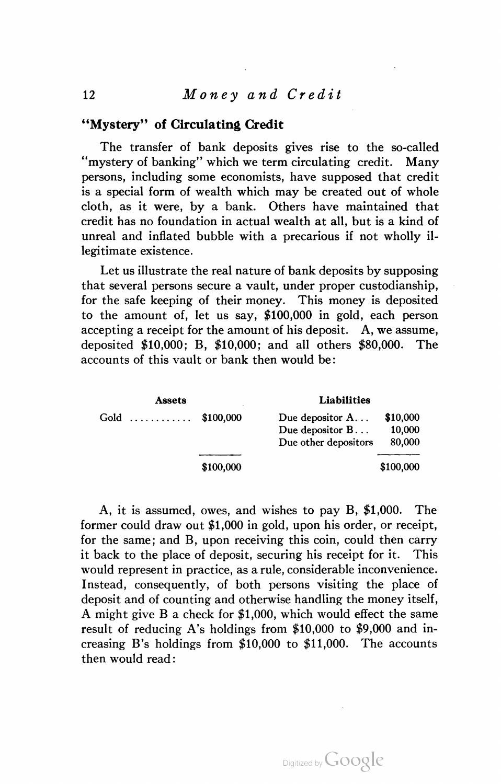#### "Mystery" of Circulating Credit

The transfer of bank deposits gives rise to the so-called "mystery of banking" which we term circulating credit. Many persons, including some economists, have supposed that credit is a special form of wealth which may be created out of whole cloth, as it were, by a bank. Others have maintained that credit has no foundation in actual wealth at all, but is a kind of unreal and inflated bubble with a precarious if not wholly il legitimate existence.

Let us illustrate the real nature of bank deposits by supposing that several persons secure a vault, under proper custodianship, for the safe keeping of their money. This money is deposited to the amount of, let us say, \$100,000 in gold, each person accepting a receipt for the amount of his deposit. A, we assume, deposited \$10,000; B, \$10,000; and all others \$80,000. The accounts of this vault or bank then would be:

| Assets          |           | Liabilities                                                          |                              |
|-----------------|-----------|----------------------------------------------------------------------|------------------------------|
| Gold  \$100,000 |           | Due depositor $A$<br>Due depositor $B \dots$<br>Due other depositors | \$10,000<br>10,000<br>80,000 |
|                 | \$100,000 |                                                                      | \$100,000                    |

A, it is assumed, owes, and wishes to pay B, \$1,000. The former could draw out \$1,000 in gold, upon his order, or receipt, for the same; and B, upon receiving this coin, could then carry it back to the place of deposit, securing his receipt for it. This would represent in practice, as a rule, considerable inconvenience. Instead, consequently, of both persons Visiting the place of deposit and of counting and otherwise handling the money itself, A might give B <sup>a</sup> check for \$1,000, which would effect the same result of reducing A's holdings from \$10,000 to \$9,000 and in creasing B's holdings from \$10,000 to \$11,000. The accounts then would read: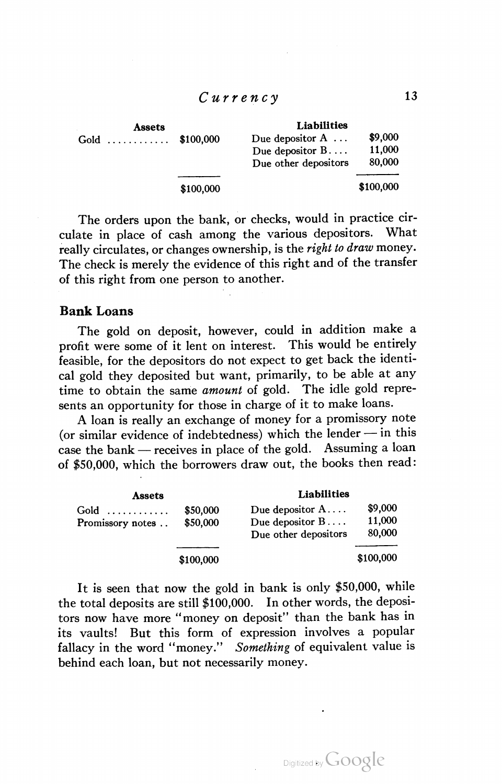| <b>Assets</b> |                 | Liabilities                                                                   |                             |
|---------------|-----------------|-------------------------------------------------------------------------------|-----------------------------|
|               | Gold  \$100,000 | Due depositor $A \dots$<br>Due depositor $B \ldots$ .<br>Due other depositors | \$9,000<br>11.000<br>80,000 |
|               | \$100,000       |                                                                               | \$100,000                   |

The orders upon the bank, or checks, would in practice cir culate in place of cash among the various depositors. What really circulates, or changes ownership, is the right to draw money. The check is merely the evidence of this right and of the transfer of this right from one person to another.

#### Bank Loans

The gold on deposit, however, could in addition make a profit were some of it lent on interest. This would be entirely feasible, for the depositors do not expect to get back the identi cal gold they deposited but want, primarily, to be able at any time to obtain the same amount of gold. The idle gold repre sents an opportunity for those in charge of it to make loans.

A loan is really an exchange of money for <sup>a</sup> promissory note (or similar evidence of indebtedness) which the lender — in this (or similar evidence of indebtedness) which the lender — in this case the bank — receives in place of the gold. Assuming a loan of \$50,000, which the borrowers draw out, the books then read:

| <b>Assets</b>                                   |                      | Liabilities                                                                 |                             |
|-------------------------------------------------|----------------------|-----------------------------------------------------------------------------|-----------------------------|
| Gold $\dots\dots\dots\dots$<br>Promissory notes | \$50,000<br>\$50,000 | Due depositor $A \dots$<br>Due depositor $B \ldots$<br>Due other depositors | \$9,000<br>11,000<br>80,000 |
|                                                 | \$100,000            |                                                                             | \$100,000                   |

It is seen that now the gold in bank is only \$50,000, while the total deposits are still \$100,000. In other words, the deposi tors now have more "money on deposit" than the bank has in its vaults! But this form of expression involves a popular fallacy in the word "money." Something of equivalent value is behind each loan, but not necessarily money.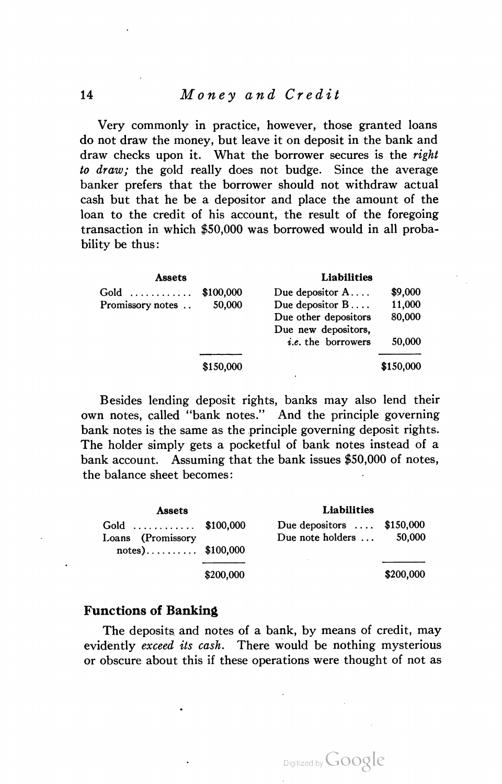# <sup>14</sup> Money and Credit

Very commonly in practice, however, those granted loans do not draw the money, but leave it on deposit in the bank and draw checks upon it. What the borrower secures is the right to draw; the gold really does not budge. Since the average banker prefers that the borrower should not withdraw actual cash but that he be a depositor and place the amount of the loan to the credit of his account, the result of the foregoing transaction in which \$50,000 was borrowed would in all proba bility be thus:

| <b>Assets</b>    |           | Liabilities                |           |
|------------------|-----------|----------------------------|-----------|
| $Gold$           | \$100,000 | Due depositor $A \dots$    | \$9,000   |
| Promissory notes | 50,000    | Due depositor $B \ldots$ . | 11,000    |
|                  |           | Due other depositors       | 80,000    |
|                  |           | Due new depositors.        |           |
|                  |           | <i>i.e.</i> the borrowers  | 50,000    |
|                  | \$150,000 |                            | \$150,000 |

Besides lending deposit rights, banks may also lend their own notes, called "bank notes." And the principle governing bank notes is the same as the principle governing deposit rights. The holder simply gets a pocketful of bank notes instead of a bank account. Assuming that the bank issues \$50,000 of notes, the balance sheet becomes:

| Assets                               |           | Liabilities                                                  |           |
|--------------------------------------|-----------|--------------------------------------------------------------|-----------|
| Gold  \$100,000<br>Loans (Promissory |           | Due depositors $\dots$ \$150,000<br>Due note holders $\dots$ | 50.000    |
| $notes)$ \$100,000                   |           |                                                              |           |
|                                      | \$200,000 |                                                              | \$200,000 |

#### Functions of Banking

The deposits and notes of a bank, by means of credit, may evidently *exceed its cash*. There would be nothing mysterious or obscure about this if these operations were thought of not as

Digitized by Google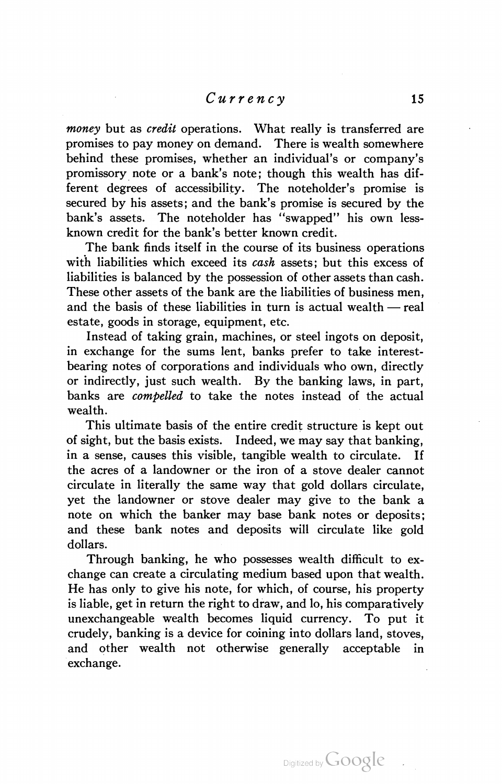# Currency <sup>15</sup>

money but as *credit* operations. What really is transferred are promises to pay money on demand. There is wealth somewhere behind these promises, whether an individual's or company's promissory note or a bank's note; though this wealth has different degrees of accessibility. The noteholder's promise is secured by his assets; and the bank's promise is secured by the bank's assets. The noteholder has "swapped" his own less known credit for the bank's better known credit.

The bank finds itself in the course of its business operations with liabilities which exceed its *cash* assets; but this excess of liabilities is balanced by the possession of other assets than cash. These other assets of the bank are the liabilities of business men, and the basis of these liabilities in turn is actual wealth — real estate, goods in storage, equipment, etc.

Instead of taking grain, machines, or steel ingots on deposit, in exchange for the sums lent, banks prefer to take interest bearing notes of corporations and individuals who own, directly or indirectly, just such wealth. By the banking laws, in part, banks are compelled to take the notes instead of the actual wealth.

This ultimate basis of the entire credit structure is kept out of sight, but the basis exists. Indeed, we may say that banking, in a sense, causes this visible, tangible wealth to circulate. If the acres of a landowner or the iron of a stove dealer cannot circulate in literally the same way that gold dollars circulate, yet the landowner or stove dealer may give to the bank a note on which the banker may base bank notes or deposits; and these bank notes and deposits will circulate like gold dollars.

Through banking, he who possesses wealth difficult to ex change can create a circulating medium based upon that wealth. He has only to give his note, for which, of course, his property is liable, get in return the right to draw, and 10, his comparatively unexchangeable wealth becomes liquid currency. To put it crudely, banking is a device for coining into dollars land, stoves, and other wealth not otherwise generally acceptable in exchange.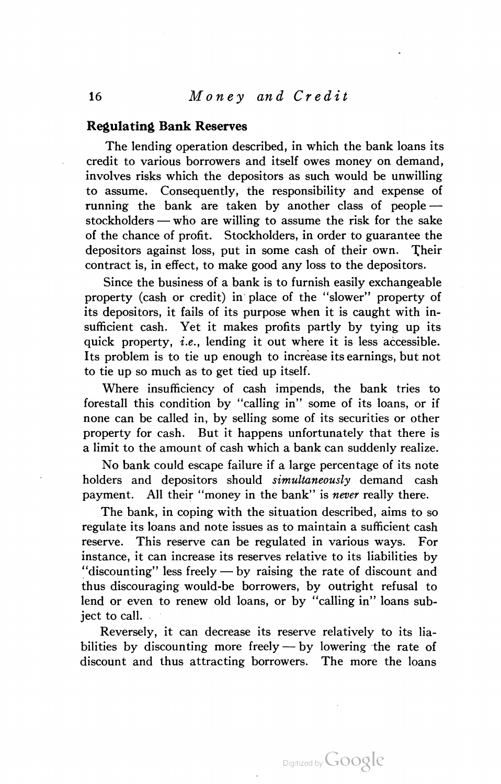#### Regulating Bank Reserves

The lending operation described, in which the bank loans its credit to various borrowers and itself owes money on demand, involves risks which the depositors as such would be unwilling to assume. Consequently, the responsibility and expense of running the bank are taken by another class of people stockholders —who are willing to assume the risk for the sake of the chance of profit. Stockholders, in order to guarantee the depositors against loss, put in some cash of their own. Their contract is, in effect, to make good any loss to the depositors.

Since the business of a bank is to furnish easily exchangeable property (cash or credit) in place of the "slower" property of its depositors, it falls of its purpose when it is caught with in sufficient cash. Yet it makes profits partly by tying up its quick property, i.e., lending it out where it is less accessible. Its problem is to tie up enough to increase its earnings, but not to tie up so much as to get tied up itself.

Where insufficiency of cash impends, the bank tries to forestall this condition by "calling in" some of its loans, or if none can be called in, by selling some of its securities or other property for cash. But it happens unfortunately that there is a limit to the amount of cash which a bank can suddenly realize.

No bank could escape failure if a large percentage of its note holders and depositors should simultaneously demand cash payment. All their "money in the bank" is never really there.

The bank, in coping with the situation described, aims to so regulate its loans and note issues as to maintain a sufficient cash reserve. This reserve can be regulated in various ways. For instance, it can increase its reserves relative to its liabilities by "discounting" less freely — by raising the rate of discount and thus discouraging would-be borrowers, by outright refusal to lend or even to renew old loans, or by "calling in" loans sub ject to call.

Reversely, it can decrease its reserve relatively to its lia bilities by discounting more freely—by lowering the rate of discount and thus attracting borrowers. The more the loans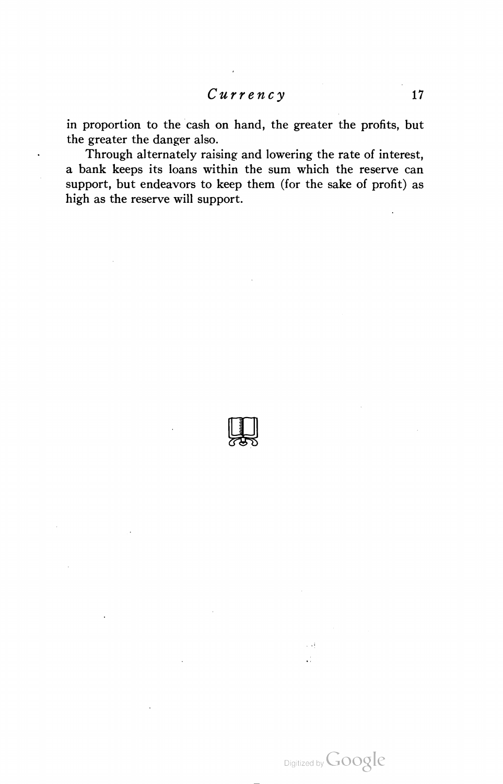Currency I is a set of the set of the set of the set of the set of the set of the set of the set of the set of<br>Internal currency in the set of the set of the set of the set of the set of the set of the set of the set of t

in proportion to the cash on hand, the greater the profits, but the greater the danger also.

Through alternately raising and lowering the rate of interest, a bank keeps its loans within the sum which the reserve can support, but endeavors to keep them (for the sake of profit) as high as the reserve will support.



ا ب ä,

Digitized by Google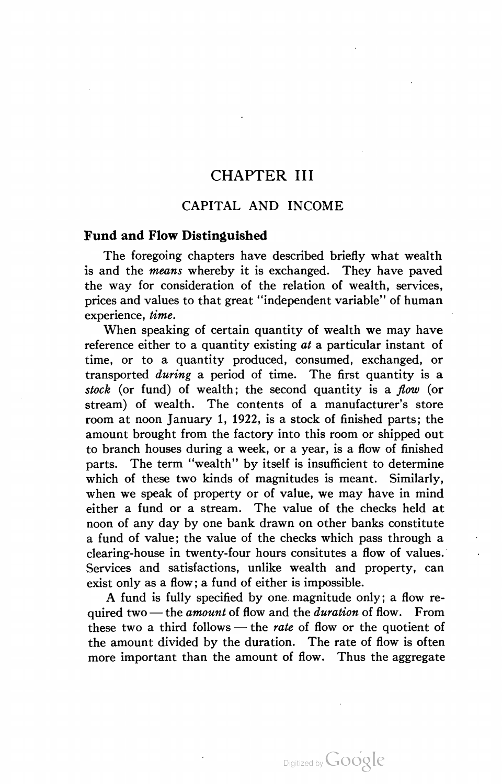# CHAPTER III

#### CAPITAL AND INCOME

#### Fund and Flow Distinguished

The foregoing chapters have described briefly what wealth is and the means whereby it is exchanged. They have paved the way for consideration of the relation of wealth, services, prices and values to that great "independent variable" of human experience, time.

When speaking of certain quantity of wealth we may have reference either to a quantity existing *at* a particular instant of time, or to a quantity produced, consumed, exchanged, or transported during a period of time. The first quantity is a stock (or fund) of wealth; the second quantity is a *flow* (or stream) of wealth. The contents of a manufacturer's store room at noon January 1, 1922, is a stock of finished parts; the amount brought from the factory into this room or shipped out to branch houses during a week, or a year, is a flow of finished parts. The term "wealth" by itself is insufficient to determine which of these two kinds of magnitudes is meant. Similarly, when we speak of property or of value, we may have in mind either a fund or a stream. The value of the checks held at noon of any day by one bank drawn on other banks constitute a fund of value; the value of the checks which pass through a clearing-house in twenty-four hours consitutes a How of values. Services and satisfactions, unlike wealth and property, can exist only as a flow; a fund of either is impossible.

EXIST ONLY AS A HOW, A TURN OF EITHET IS IMPOSSIBLE.<br>
A fund is fully specified by one magnitude only; a flow re-<br>
quired two — the *amount* of flow and the *duration* of flow. From quired two — the *amount* of flow and the *duration* of flow. From these two a third follows — the *rate* of flow or the quotient of the amount divided by the duration. The rate of flow is often more important than the amount of How. Thus the aggregate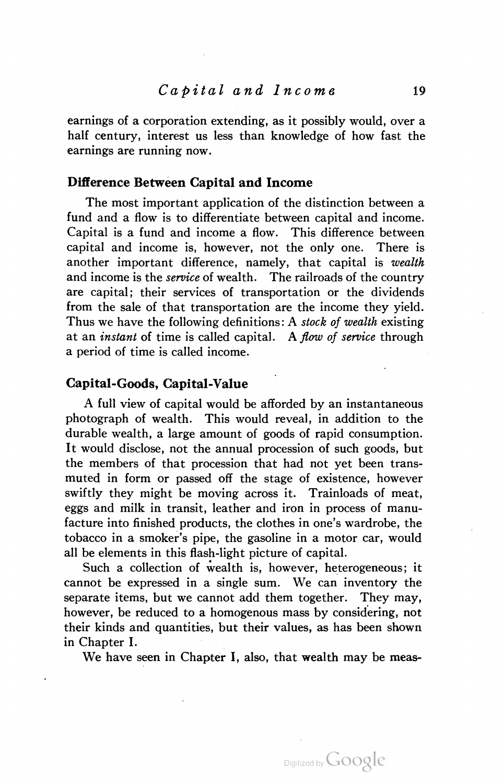earnings of a corporation extending, as it possibly would, over a half century, interest us less than knowledge of how fast the earnings are running now.

#### Difference Between Capital and Income

The most important application of the distinction between a fund and a flow is to differentiate between capital and income. Capital is a fund and income a flow. This difference between capital and income is, however, not the only one. There is another important difference, namely, that capital is wealth and income is the service of wealth. The railroads of the country are capital; their services of transportation or the dividends from the sale of that transportation are the income they yield. Thus we have the following definitions: A *stock of wealth* existing at an instant of time is called capital. A flow of service through a period of time is called income.

#### Capital-Goods, Capital-Value

A full view of capital would be afforded by an instantaneous photograph of wealth. This would reveal, in addition to the durable wealth, a large amount of goods of rapid consumption. It would disclose, not the annual procession of such goods, but the members of that procession that had not yet been trans muted in form or passed off the stage of existence, however swiftly they might be moving across it. Trainloads of meat, eggs and milk in transit, leather and iron in process of manu facture into finished products, the clothes in one's wardrobe, the tobacco in a smoker's pipe, the gasoline in a motor car, would all be elements in this flash-light picture of capital.

Such a collection of wealth is, however, heterogeneous; it cannot be expressed in a single sum. We can inventory the separate items, but we cannot add them together. They may, however, be reduced to a homogenous mass by considering, not their kinds and quantities, but their values, as has been shown in Chapter I.

We have seen in Chapter I, also, that wealth may be meas-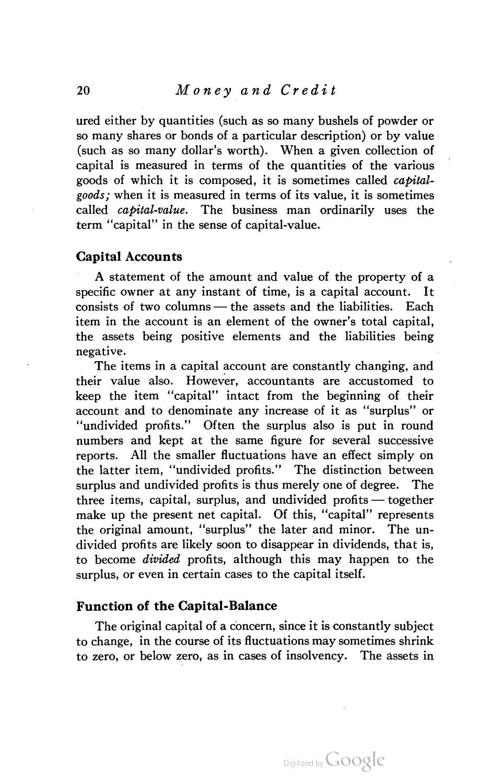ured either by quantities (such as so many bushels of powder or so many shares or bonds of a particular description) or by value (such as so many dollar's worth). When a given collection of capital is measured in terms of the quantities of the various goods of which it is composed, it is sometimes called capital goods; when it is measured in terms of its value, it is sometimes called capital-value. The business man ordinarily uses the term "capital" in the sense of capital-value.

#### Capital Accounts

A statement of the amount and value of the property of <sup>a</sup> specific owner at any instant of time, is a capital account. It  $consists of two columns — the assets and the liabilities. Each$ item in the account is an element of the owner's total capital, the assets being positive elements and the liabilities being negative.

The items in a capital account are constantly changing, and their value also. However, accountants are accustomed to keep the item "capital" intact from the beginning of their account and to denominate any increase of it as "surplus" or "undivided profits." Often the surplus also is put in round numbers and kept at the same figure for several successive reports. All the smaller fluctuations have an effect simply on the latter item, "undivided profits." The distinction between surplus and undivided profits is thus merely one of degree. The three items, capital, surplus, and undivided profits—together make up the present net capital. Of this, "capital" represents the original amount, "surplus" the later and minor. The un divided profits are likely soon to disappear in dividends, that is, to become divided profits, although this may happen to the surplus, or even in certain cases to the capital itself.

#### Function of the Capital-Balance

The original capital of a concern, since it is constantly subject to change, in the course of its fluctuations may sometimes shrink to zero, or below zero, as in cases of insolvency. The assets in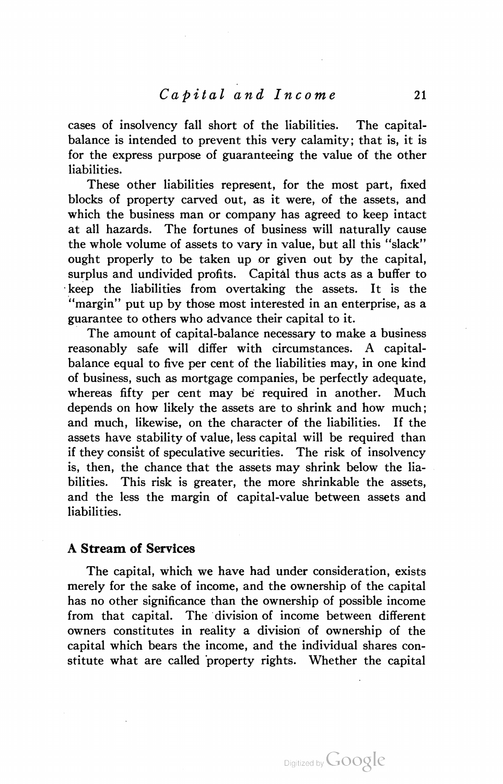cases of insolvency fall short of the liabilities. The capital balance is intended to prevent this very calamity; that is, it is for the express purpose of guaranteeing the value of the other liabilities.

These other liabilities represent, for the most part, fixed blocks of property carved out, as it were, of the assets, and which the business man or company has agreed to keep intact at all hazards. The fortunes of business will naturally cause the whole volume of assets to vary in value, but all this "slack" ought properly to be taken up or given out by the capital, surplus and undivided profits. Capital thus acts as a buffer to ~keep the liabilities from overtaking the assets. It is the "margin" put up by those most interested in an enterprise, as a guarantee to others who advance their capital to it.

The amount of capital-balance necessary to make a business reasonably safe will differ with circumstances. A capital balance equal to five per cent of the liabilities may, in one kind of business, such as mortgage companies, be perfectly adequate, whereas fifty per cent may be required in another. Much depends on how likely the assets are to shrink and how much; and much, likewise, on the character of the liabilities. If the assets have stability of value, less capital will be required than if they consist of speculative securities. The risk of insolvency is, then, the chance that the assets may shrink below the lia bilities. This risk is greater, the more shrinkable the assets, and the less the margin of capital-value between assets and liabilities.

#### A Stream of Services

The capital, which we have had under consideration, exists merely for the sake of income, and the ownership of the capital has no other significance than the ownership of possible income from that capital. The division of income between different owners constitutes in reality a division of ownership of the capital which bears the income, and the individual shares con stitute what are called 'property rights. Whether the capital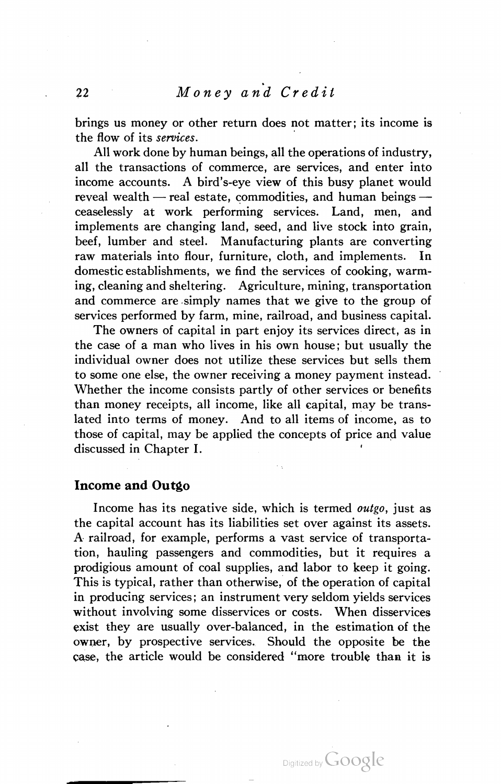brings us money or other return does not matter; its income is the flow of its *services*.

All work done by human beings, all the operations of industry, all the transactions of commerce, are services, and enter into income accounts. A bird's-eye view of this busy planet would reveal wealth — real estate, commodities, and human beings ceaselessly at work performing services. Land, men, and implements are changing land, seed, and live stock into grain, beef, lumber and steel. Manufacturing plants are converting raw materials into flour, furniture, cloth, and implements. In domestic establishments, we find the services of cooking, warm ing, cleaning and sheltering. Agriculture, mining, transportation and commerce are simply names that we give to the group of services performed by farm, mine, railroad, and business capital.

The owners of capital in part enjoy its services direct, as in the case of a man who lives in his own house; but usually the individual owner does not utilize these services but sells them to some one else, the owner receiving a money payment instead. Whether the income consists partly of other services or benefits than money receipts, all income, like all capital, may be trans lated into terms of money. And to all items of income, as to those of capital, may be applied the concepts of price and value discussed in Chapter I.

#### Income and Outgo

Income has its negative side, which is termed *outgo*, just as the capital account has its liabilities set over against its assets. A railroad, for example, performs <sup>a</sup> vast service of transporta tion, hauling passengers and commodities, but it requires a prodigious amount of coal supplies, and labor to keep it going. This is typical, rather than otherwise, of the operation of capital in producing services; an instrument very seldom yields services without involving some disservices or costs. When disservices exist they are usually over-balanced, in the estimation of the owner, by prospective services. Should the opposite be the case, the article would be considered "more trouble than it is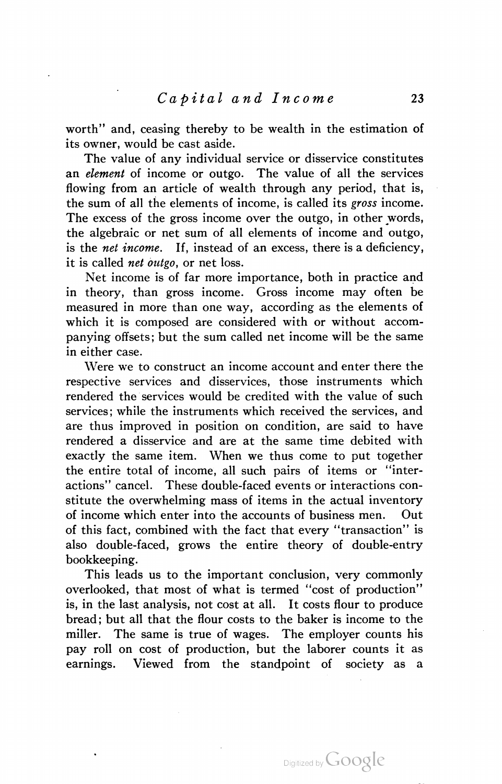worth" and, ceasing thereby to be wealth in the estimation of its owner, would be cast aside.

The value of any individual service or disservice constitutes an element of income or outgo. The value of all the services flowing from an article of wealth through any period, that is, the sum of all the elements of income, is called its gross income. The excess of the gross income over the outgo, in other words, the algebraic or net sum of all elements of income and outgo, is the *net income*. If, instead of an excess, there is a deficiency, it is called *net outgo*, or net loss.

Net income is of far more importance, both in practice and in theory, than gross income. Gross income may often be measured in more than one way, according as the elements of which it is composed are considered with or without accom panying offsets; but the sum called net income will be the same in either case.

\Vere we to construct an income account and enter there the respective services and disservices, those instruments which rendered the services would be credited with the value of such services; while the instruments which received the services, and are thus improved in position on condition, are said to have rendered a disservice and are at the same time debited with exactly the same item. When we thus come to put together the entire total of income, all such pairs of items or "inter actions" cancel. These double-faced events or interactions con stitute the overwhelming mass of items in the actual inventory of income which enter into the accounts of business men. Out of this fact, combined with the fact that every "transaction" is also double-faced, grows the entire theory of double-entry bookkeeping.

This leads us to the important conclusion, very commonly overlooked, that most of what is termed "cost of production" is, in the last analysis, not cost at all. It costs flour to produce bread; but all that the flour costs to the baker is income to the miller. The same is true of wages. The employer counts his pay roll on cost of production, but the laborer counts it as earnings. Viewed from the standpoint of society as a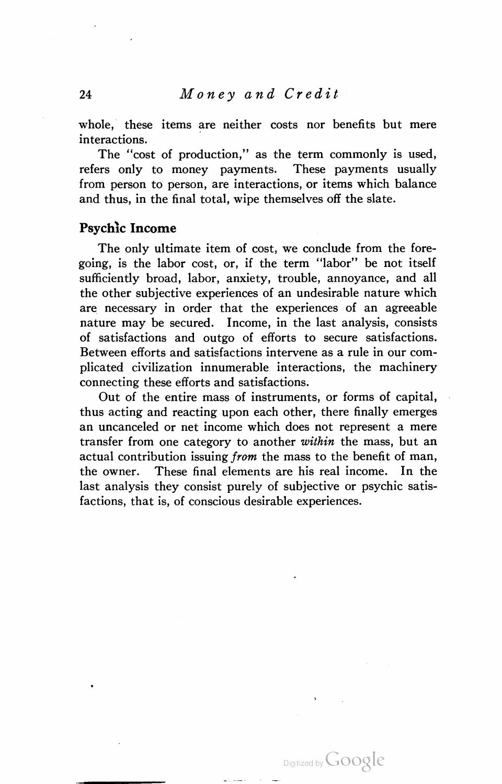whole, these items are neither costs nor benefits but mere interactions.

The "cost of production,' as the term commonly is used, refers only to money payments. These payments usually from person to person, are interactions, or items which balance and thus, in the final total, wipe themselves off the slate.

#### Psychic Income

The only ultimate item of cost, we conclude from the fore going, is the labor cost, or, if the term "labor" be not itself sufficiently broad, labor, anxiety, trouble, annoyance, and all the other subjective experiences of an undesirable nature which are necessary in order that the experiences of an agreeable nature may be secured. Income, in the last analysis, consists of satisfactions and outgo of efforts to secure satisfactions. Between efforts and satisfactions intervene as a rule in our com plicated civilization innumerable interactions, the machinery connecting these efforts and satisfactions.

Out of the entire mass of instruments, or forms of capital, thus acting and reacting upon each other, there finally emerges an uncanceled or net income which does not represent a mere transfer from one category to another within the mass, but an actual contribution issuing from the mass to the benefit of man, the owner. These final elements are his real income. In the last analysis they consist purely of subjective or psychic satis factions, that is, of conscious desirable experiences.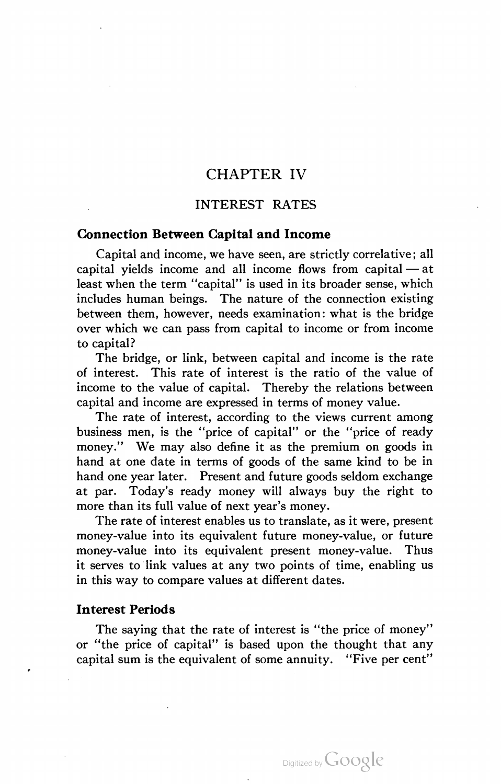# CHAPTER IV

### INTEREST RATES

#### Connection Between Capital and Income

Capital and income, we have seen, are strictly correlative; all capital yields income and all income flows from capital  $-$  at least when the term "capital" is used in its broader sense, which includes human beings. The nature of the connection existing between them, however, needs examination: what is the bridge over which we can pass from capital to income or from income to capital?

The bridge, or link, between capital and income is the rate of interest. This rate of interest is the ratio of the value of income to the value of capital. Thereby the relations between capital and income are expressed in terms of money value.

The rate of interest, according to the views current among business men, is the "price of capital" or the "price of ready money." We may also define it as the premium on goods in hand at one date in terms of goods of the same kind to be in hand one year later. Present and future goods seldom exchange at par. Today's ready money will always buy the right to more than its full value of next year's money.

The rate of interest enables us to translate, as it were, present money-value into its equivalent future money-value, or future money-value into its equivalent present money-value. Thus it serves to link values at any two points of time, enabling us in this way to compare values at different dates.

#### Interest Periods

The saying that the rate of interest is "the price of money" or "the price of capital" is based upon the thought that any capital sum is the equivalent of some annuity. "Five per cent"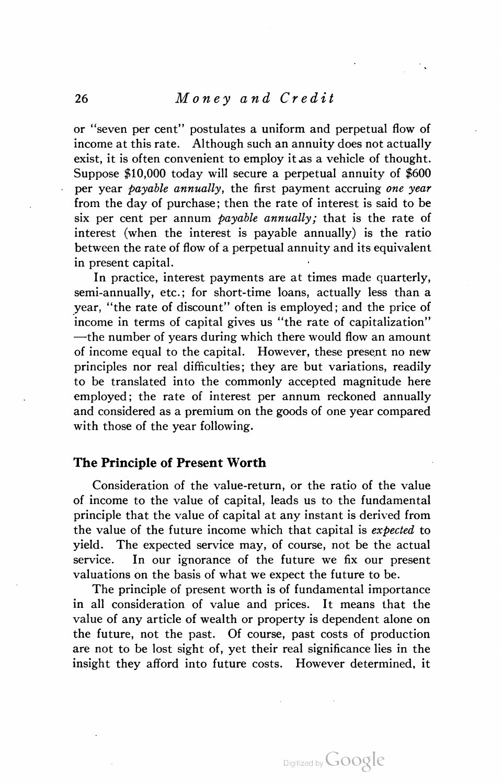or "seven per cent" postulates a uniform and perpetual flow of income at this rate. Although such an annuity does not actually exist, it is often convenient to employ it as a vehicle of thought. Suppose \$10,000 today will secure a perpetual annuity of \$600 per year *payable annually*, the first payment accruing one year from the day of purchase; then the rate of interest is said to be six per cent per annum *bayable annually*; that is the rate of interest (when the interest is payable annually) is the ratio between the rate of flow of a perpetual annuity and its equivalent in present capital.

In practice, interest payments are at times made quarterly, semi-annually, etc.; for short-time loans, actually less than a year, "the rate of discount" often is employed; and the price of income in terms of capital gives us "the rate of capitalization" —the number of years during which there would flow an amount of income equal to the capital. However, these present no new principles nor real difficulties; they are but variations, readily to be translated into the commonly accepted magnitude here employed; the rate of interest per annum reckoned annually and considered as a premium on the goods of one year compared with those of the year following.

#### The Principle of Present Worth

Consideration of the value-return, or the ratio of the value of income to the value of capital, leads us to the fundamental principle that the value of capital at any instant is derived from the value of the future income which that capital is expected to vield. The expected service may, of course, not be the actual service. In our ignorance of the future we fix our present valuations on the basis of what we expect the future to be.

The principle of present worth is of fundamental importance in all consideration of value and prices. It means that the value of any article of wealth or property is dependent alone on the future, not the past. Of course, past costs of production are not to be lost sight of, yet their real significance lies in the insight they afford into future costs. However determined, it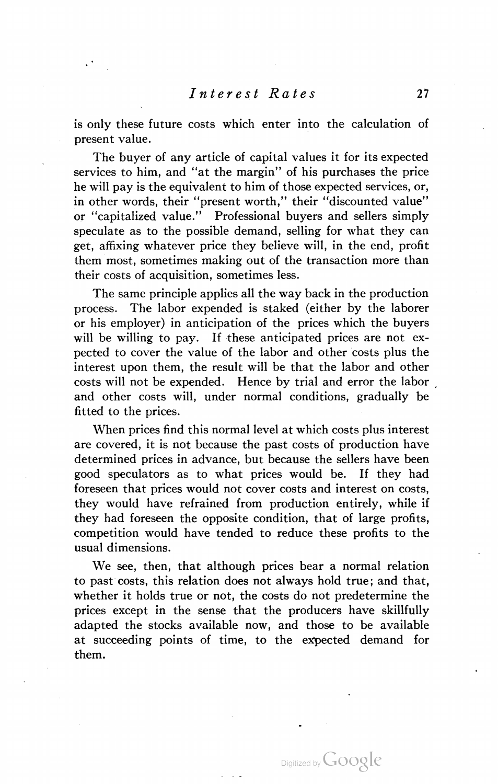is only these future costs which enter into the calculation of present value.

The buyer of any article of capital values it for its expected services to him, and "at the margin" of his purchases the price he will pay is the equivalent to him of those expected services, or, in other words, their "present worth," their "discounted value" or "capitalized value." Professional buyers and sellers simply speculate as to the possible demand, selling for what they can get, affixing whatever price they believe will, in the end, profit them most, sometimes making out of the transaction more than their costs of acquisition, sometimes less.

The same principle applies all the way back in the production process. The labor expended is staked (either by the laborer or his employer) in anticipation of the prices which the buyers will be willing to pay. If these anticipated prices are not expected to cover the value of the labor and other costs plus the interest upon them, the result will be that the labor and other costs will not be expended. Hence by trial and error the labor . and other costs will, under normal conditions, gradually be fitted to the prices.

When prices find this normal level at which costs plus interest are covered, it is not because the past costs of production have determined prices in advance, but because the sellers have been good speculators as to what prices would be. If they had foreseen that prices would not cover costs and interest on costs, they would have refrained from production entirely, while if they had foreseen the opposite condition, that of large profits, competition would have tended to reduce these profits to the usual dimensions.

We see, then, that although prices bear <sup>a</sup> normal relation to past costs, this relation does not always hold true; and that, whether it holds true or not, the costs do not predetermine the prices except in the sense that the producers have skillfully adapted the stocks available now, and those to be available at succeeding points of time, to the expected demand for them.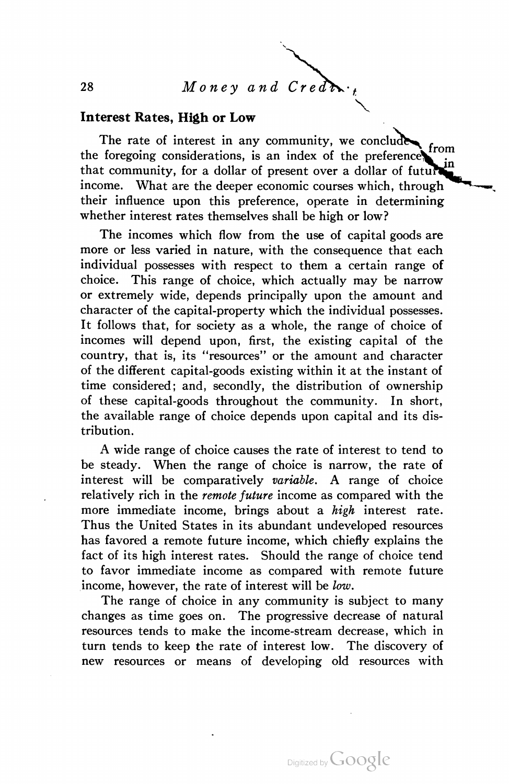28 Money and  $Cred$  $\overline{\phantom{a}}$ 

#### Interest Rates, High or Low

The rate of interest in any community, we conclude the foregoing considerations, is an index of the preference! that community, for a dollar of present over a dollar of future income. What are the deeper economic courses which, through their influence upon this preference, operate in determining whether interest rates themselves shall be high or low?

The incomes which flow from the use of capital goods are more or less varied in nature, with the consequence that each individual possesses with respect to them a certain range of choice. This range of choice, which actually may be narrow or extremely wide, depends principally upon the amount and character of the capital-property which the individual possesses. It follows that, for society as a whole, the range of choice of incomes will depend upon, first, the existing capital of the country, that is, its "resources" or the amount and character of the different capital-goods existing within it at the instant of time considered; and, secondly, the distribution of ownership of these capital-goods throughout the community. In short, the available range of choice depends upon capital and its dis tribution.

A wide range of choice causes the rate of interest to tend to be steady. When the range of choice is narrow, the rate of interest will be comparatively variable. A range of choice relatively rich in the *remote future* income as compared with the more immediate income, brings about a high interest rate. Thus the United States in its abundant undeveloped resources has favored a remote future income, which chiefly explains the fact of its high interest rates. Should the range of choice tend to favor immediate income as compared with remote future income, however, the rate of interest will be low.

The range of choice in any community is subject to many changes as time goes on. The progressive decrease of natural resources tends to make the income-stream decrease, which in turn tends to keep the rate of interest low. The discovery of new resources or means of developing old resources with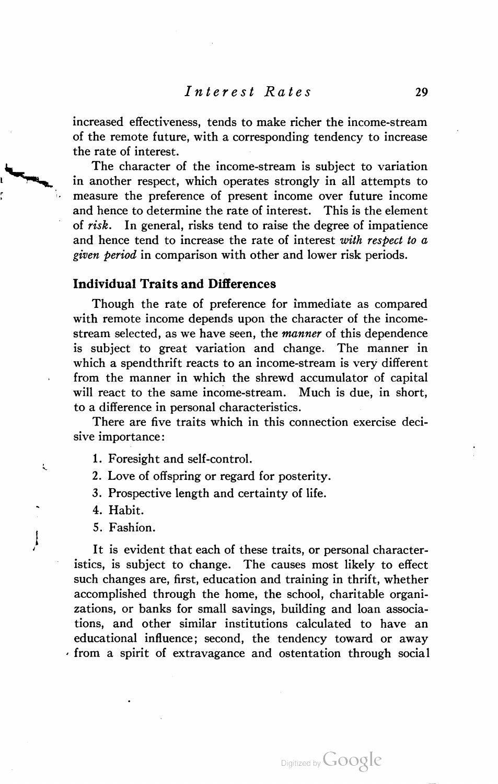increased effectiveness, tends to make richer the income-stream of the remote future, with a corresponding tendency to increase the rate of interest.

The character of the income-stream is subject to variation in another respect, which operates strongly in all attempts to measure the preference of present income over future income and hence to determine the rate of interest. This is the element of risk. In general, risks tend to raise the degree of impatience and hence tend to increase the rate of interest with respect to a given period in comparison with other and lower risk periods.

#### Individual Traits and Differences

Though the rate of preference for immediate as compared with remote income depends upon the character of the income stream selected, as we have seen, the *manner* of this dependence is subject to great variation and change. The manner in which a spendthrift reacts to an income-stream is very different from the manner in which the shrewd accumulator of capital will react to the same income-stream. Much is due, in short, to a difference in personal characteristics.

There are five traits which in this connection exercise decisive importance:

1. Foresight and self-control.

2. Love of offspring or regard for posterity.

3. Prospective length and certainty of life.

4. Habit.

I

 $\overline{\phantom{a}}$ 

5. Fashion.

It is evident that each of these traits, or personal character istics, is subject to change. The causes most likely to effect such changes are, first, education and training in thrift, whether accomplished through the home, the school, charitable organi zations, or banks for small savings, building and loan associa tions, and other similar institutions calculated to have an educational influence; second, the tendency toward or away  $\cdot$  from a spirit of extravagance and ostentation through social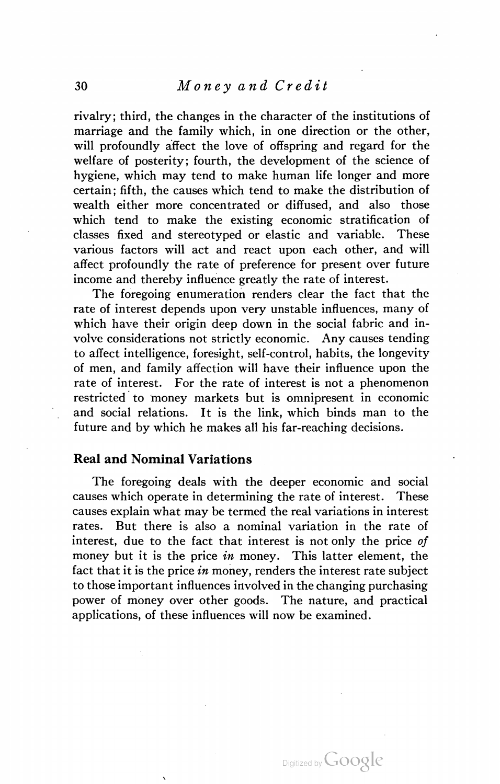rivalry; third, the changes in the character of the institutions of marriage and the family which, in one direction or the other, will profoundly affect the love of offspring and regard for the welfare of posterity; fourth, the development of the science of hygiene, which may tend to make human life longer and more certain; fifth, the causes which tend to make the distribution of wealth either more concentrated or diffused, and also those which tend to make the existing economic stratification of classes fixed and stereotyped or elastic and variable. These various factors will act and react upon each other, and will affect profoundly the rate of preference for present over future income and thereby influence greatly the rate of interest.

The foregoing enumeration renders clear the fact that the rate of interest depends upon very unstable influences, many of which have their origin deep down in the social fabric and involve considerations not strictly economic. Any causes tending to affect intelligence, foresight, self-control, habits, the longevity of men, and family affection will have their influence upon the rate of interest. For the rate of interest is not a phenomenon restricted to money markets but is omnipresent in economic and social relations. It is the link, which binds man to the future and by which he makes all his far-reaching decisions.

#### Real and Nominal Variations

The foregoing deals with the deeper economic and social causes which operate in determining the rate of interest. These causes explain what may be termed the real variations in interest rates. But there is also a nominal variation in the rate of interest, due to the fact that interest is not only the price of money but it is the price in money. This latter element, the fact that it is the price in money, renders the interest rate subject to those important influences involved in the changing purchasing power of money over other goods. The nature, and practical applications, of these influences will now be examined.

Digitized by Google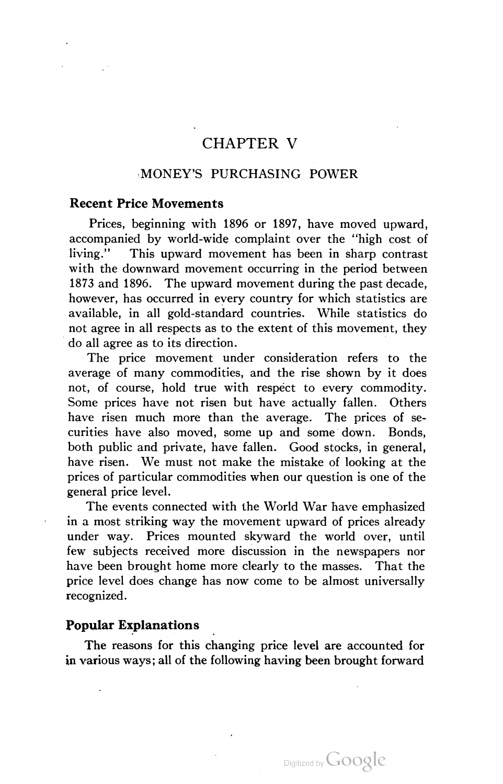# CHAPTER V

#### MONEY'S PURCHASING POWER

#### Recent Price Movements

Prices, beginning with 1896 or 1897, have moved upward, accompanied by world-wide complaint over the "high cost of living." This upward movement has been in sharp contrast with the downward movement occurring in the period between 1873 and 1896. The upward movement during the past decade, however, has occurred in every country for which statistics are available, in all gold-standard countries. While statistics do not agree in all respects as to the extent of this movement, they ' do all agree as to its direction.

The price movement under consideration refers to the average of many commodities, and the rise shown by it does not, of course, hold true with respect to every commodity. Some prices have not risen but have actually fallen. Others have risen much more than the average. The prices of securities have also moved, some up and some down. Bonds, both public and private, have fallen. Good stocks, in general, have risen. We must not make the mistake of looking at the prices of particular commodities when our question is one of the general price level.

The events connected with the World War have emphasized in a most striking way the movement upward of prices already under way. Prices mounted skyward the world over, until few subjects received more discussion in the newspapers nor have been brought home more clearly to the masses. That the price level does change has now come to be almost universally recognized.

#### Popular Explanations

The reasons for this changing price level are accounted for in various ways; all of the following having been brought forward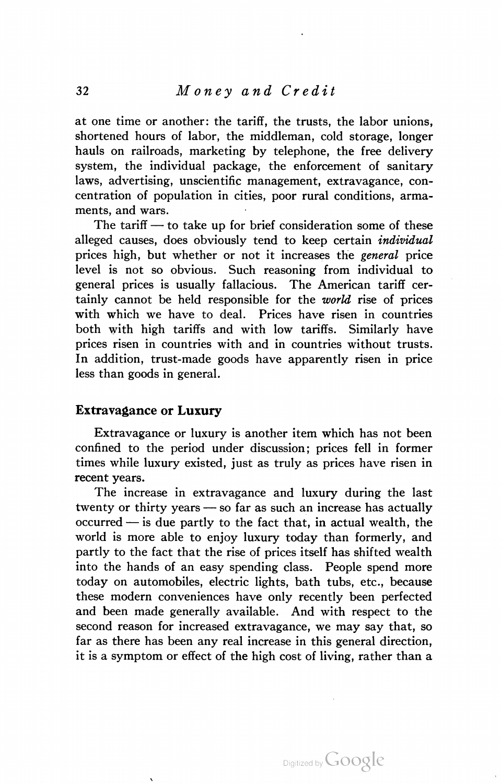at one time or another: the tariff, the trusts, the labor unions, shortened hours of labor, the middleman, cold storage, longer hauls on railroads, marketing by telephone, the free delivery system, the individual package, the enforcement of sanitary laws, advertising, unscientific management, extravagance, con centration of population in cities, poor rural conditions, arma ments, and wars.

The tariff  $-$  to take up for brief consideration some of these alleged causes, does obviously tend to keep certain individual prices high, but whether or not it increases the general price level is not so obvious. Such reasoning from individual to general prices is usually fallacious. The American tariff cer tainly cannot be held responsible for the world rise of prices with which we have to deal. Prices have risen in countries both with high tariffs and with low tariffs. Similarly have prices risen in countries with and in countries without trusts. In addition, trust-made goods have apparently risen in price less than goods in general.

#### Extravagance or Luxury

Extravagance or luxury is another item which has not been confined to the period under discussion; prices fell in former times while luxury existed, just as truly as prices have risen in recent years.

The increase in extravagance and luxury during the last The increase in extravagance and luxury during the last<br>twenty or thirty years — so far as such an increase has actually twenty or thirty years — so far as such an increase has actually<br>occurred — is due partly to the fact that, in actual wealth, the world is more able to enjoy luxury today than formerly, and partly to the fact that the rise of prices itself has shifted wealth into the hands of an easy spending class. People spend more today on automobiles, electric lights, bath tubs, etc., because these modern conveniences have only recently been perfected and been made generally available. And with respect to the second reason for increased extravagance, we may say that, so far as there has been any real increase in this general direction, it is a symptom or effect of the high cost of living, rather than a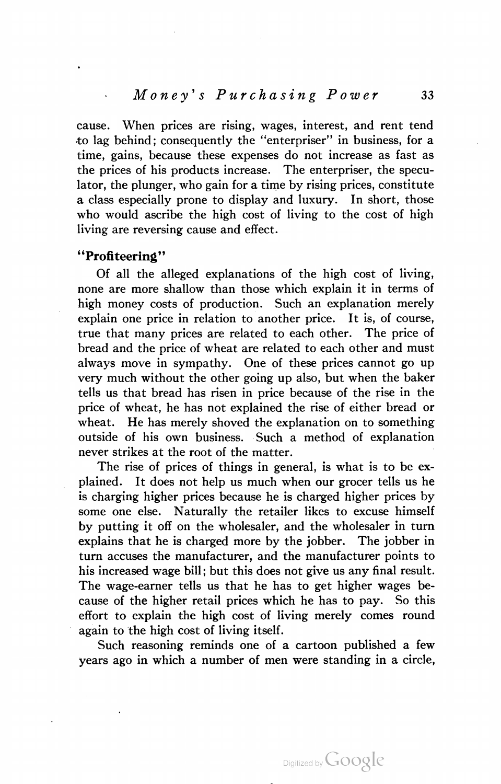Money's Purchasing Power <sup>33</sup>

cause. When prices are rising, wages, interest, and rent tend to lag behind; consequently the "enterpriser" in business, for a time, gains, because these expenses do not increase as fast as the prices of his products increase. The enterpriser, the specu lator, the plunger, who gain for a time by rising prices, constitute a class especially prone to display and luxury. In short, those who would ascribe the high cost of living to the cost of high living are reversing cause and effect.

#### "Profiteering"

Of all the alleged explanations of the high cost of living, none are more shallow than those which explain it in terms of high money costs of production. Such an explanation merely explain one price in relation to another price. It is, of course, true that many prices are related to each other. The price of bread and the price of wheat are related to each other and must always move in sympathy. One of these prices cannot go up very much without the other going up also, but when the baker tells us that bread has risen in price because of the rise in the price of wheat, he has not explained the rise of either bread or wheat. He has merely shoved the explanation on to something outside of his own business. Such a method of explanation never strikes at the root of the matter.

The rise of prices of things in general, is what is to be ex plained. It does not help us much when our grocer tells us he is charging higher prices because he is charged higher prices by some one else. Naturally the retailer likes to excuse himself by putting it off on the wholesaler, and the wholesaler in turn explains that he is charged more by the jobber. The jobber in turn accuses the manufacturer, and the manufacturer points to his increased wage bill; but this does not give us any final result. The wage-earner tells us that he has to get higher wages be cause of the higher retail prices which he has to pay. So this effort to explain the high cost of living merely comes round again to the high cost of living itself.

Such reasoning reminds one of a cartoon published a few years ago in which a number of men were standing in a circle,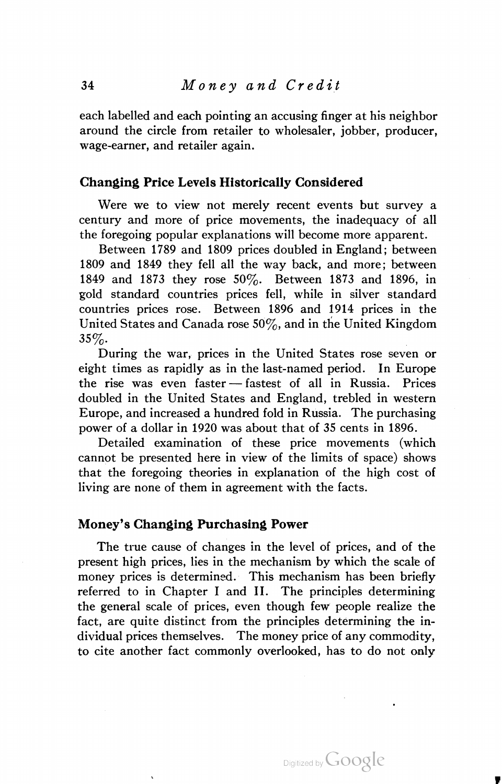each labelled and each pointing an accusing finger at his neighbor around the circle from retailer to wholesaler, jobber, producer, wage-earner, and retailer again.

#### Changing Price Levels Historically Considered

Were we to view not merely recent events but survey a century and more of price movements, the inadequacy of all the foregoing popular explanations will become more apparent.

Between 1789 and 1809 prices doubled in England; between 1809 and 1849 they fell all the way back, and more; between 1849 and 1873 they rose 50%. Between 1873 and 1896, in gold standard countries prices fell, while in silver standard countries prices rose. Between 1896 and 1914 prices in the United States and Canada rose  $50\%$ , and in the United Kingdom 35%.

During the war, prices in the United States rose seven or eight times as rapidly as in the last-named period. In Europe the rise was even faster—fastest of all in Russia. Prices doubled in the United States and England, trebled in western Europe, and increased a hundred fold in Russia. The purchasing power of a dollar in 1920 was about that of 35 cents in 1896.

Detailed examination of these price movements (which cannot be presented here in view of the limits of space) shows that the foregoing theories in explanation of the high cost of living are none of them in agreement with the facts.

#### Money's Changing Purchasing Power

The true cause of changes in the level of prices, and of the present high prices, lies in the mechanism by which the scale of money prices is determined. This mechanism has been briefly referred to in Chapter <sup>I</sup> and II. The principles determining the general scale of prices, even though few people realize the fact, are quite distinct from the principles determining the in dividual prices themselves. The money price of any commodity, to cite another fact commonly overlooked, has to do not only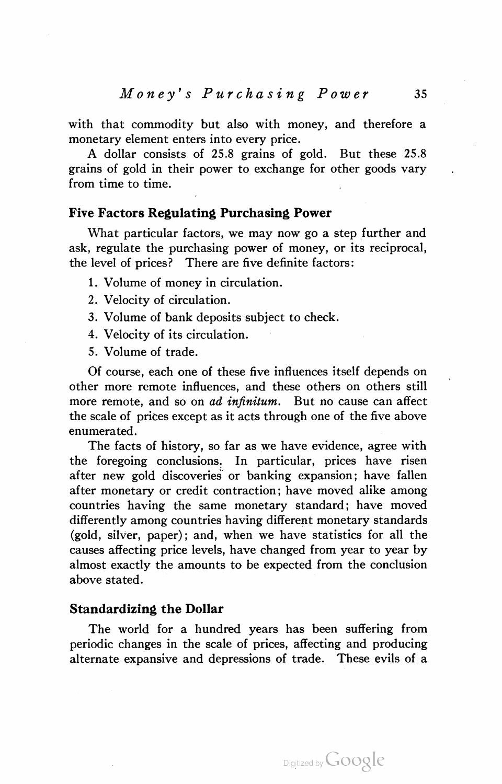with that commodity but also with money, and therefore a monetary element enters into every price.

A dollar consists of 25.8 grains of gold. But these 25.8 grains of gold in their power to exchange for other goods vary from time to time.

#### Five Factors Regulating Purchasing Power

What particular factors, we may now go a step further and ask, regulate the purchasing power of money, or its reciprocal, the level of prices? There are five definite factors:

1. Volume of money in circulation.

- 2. Velocity of circulation.
- 3. Volume of bank deposits subject to check.
- 4. Velocity of its circulation.

5. Volume of trade.

Of course, each one of these five influences itself depends on other more remote influences, and these others on others still more remote, and so on *ad infinitum*. But no cause can affect the scale of prices except as it acts through one of the five above enumerated.

The facts of history, so far as we have evidence, agree with the foregoing conclusions. In particular, prices have risen after new gold discoveries or banking expansion; have fallen after monetary or credit contraction; have moved alike among countries having the same monetary standard; have moved differently among countries having different monetary standards (gold, silver, paper); and, when we have statistics for all the causes affecting price levels, have changed from year to year by almost exactly the amounts to be expected from the conclusion above stated.

#### Standardizing the Dollar

The world for a hundred years has been suffering from periodic changes in the scale of prices, affecting and producing alternate expansive and depressions of trade. These evils of a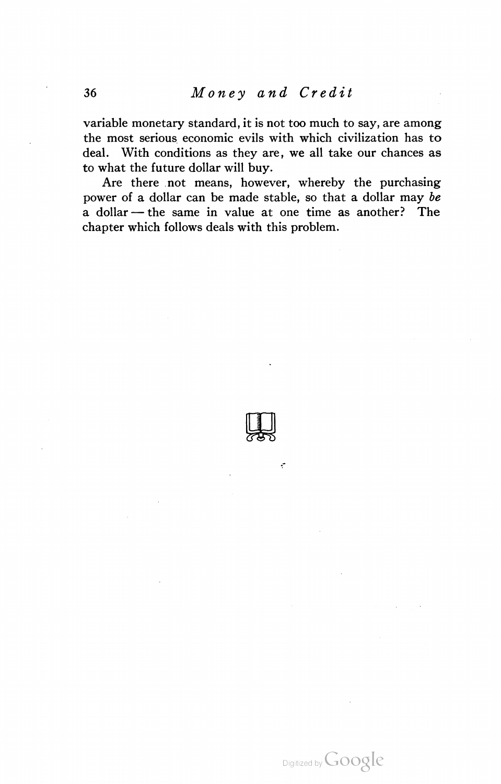variable monetary standard, it is not too much to say, are among the most serious. economic evils with which civilization has to deal. With conditions as they are, we all take our chances as to what the future dollar will buy.

Are there not means, however, whereby the purchasing power of a dollar can be made stable, so that a dollar may be a dollar—the same in value at one time as another? The chapter which follows deals with this problem.



÷,

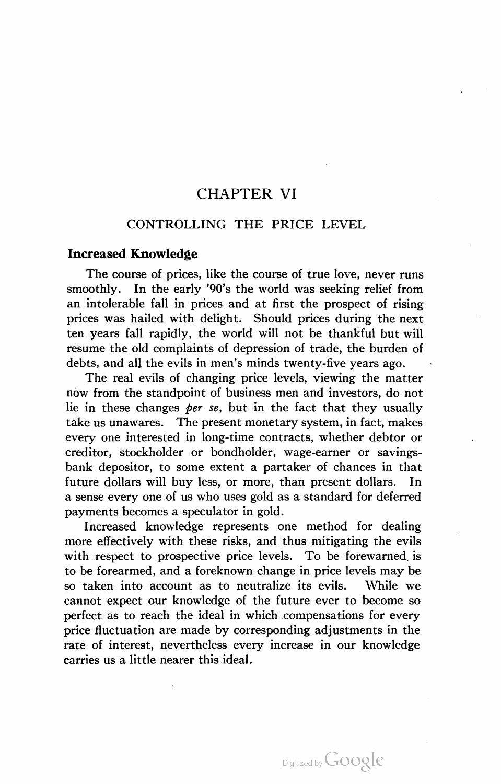# CHAPTER VI

#### CONTROLLING THE PRICE LEVEL

#### Increased Knowledge

The course of prices, like the course of true love, never runs smoothly. In the early '90's the world was seeking relief from an intolerable fall in prices and at first the prospect of rising prices was hailed with delight. Should prices during the next ten years fall rapidly, the world will not be thankful but will resume the old complaints of depression of trade, the burden of debts, and all the evils in men's minds twenty-five years ago.

The real evils of changing price levels, viewing the matter now from the standpoint of business men and investors, do not lie in these changes per se, but in the fact that they usually take us unawares. The present monetary system, in fact, makes every one interested in long-time contracts, whether debtor or creditor, stockholder or bondholder, wage-earner or savings bank depositor, to some extent a partaker of chances in that future dollars will buy less, or more, than present dollars. In a sense every one of us who uses gold as a standard for deferred payments becomes a speculator in gold.

Increased knowledge represents one method for dealing more effectively with these risks, and thus mitigating the evils with respect to prospective price levels. To be forewarned is to be forearmed, and a foreknown change in price levels may be so taken into account as to neutralize its evils. While we cannot expect our knowledge of the future ever to become so perfect as to reach the ideal in which compensations for every price fluctuation are made by corresponding adjustments in the rate of interest, nevertheless every increase in our knowledge carries us a little nearer this.ideal.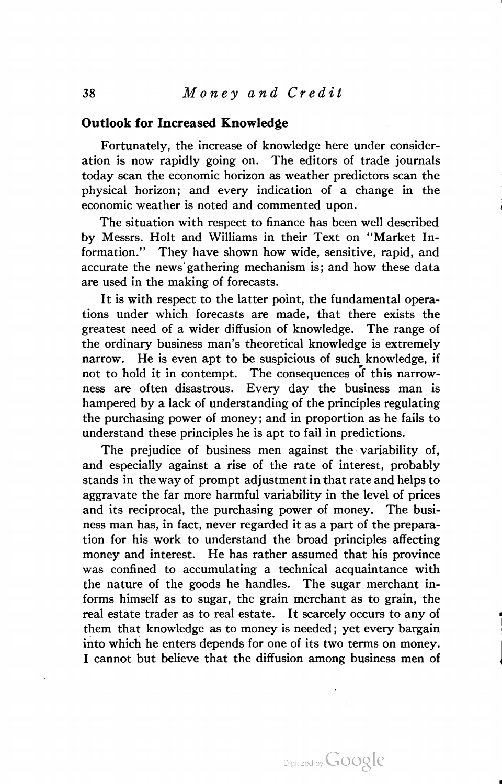#### Outlook for Increased Knowledge

Fortunately, the increase of knowledge here under consider ation is now rapidly going on. The editors of trade journals today scan the economic horizon as weather predictors scan the physical horizon; and every indication of a change in the economic weather is noted and commented upon.

The situation with respect to finance has been well described by Messrs. Holt and Williams in their Text on "Market In formation." They have shown how wide, sensitive, rapid, and accurate the news'gathering mechanism is; and how these data are used in the making of forecasts.

It is with respect to the latter point, the fundamental opera tions under which forecasts are made, that there exists the greatest need of a wider diffusion of knowledge. The range of the ordinary business man's theoretical knowledge is extremely narrow. He is even apt to be suspicious of such knowledge, if not to hold it in contempt. The consequences of this narrow ness are often disastrous. Every day the business man is hampered by a lack of understanding of the principles regulating the purchasing power of money; and in proportion as he fails to understand these principles he is apt to fail in predictions.

The prejudice of business men against the variability of, and especially against a rise of the rate of interest, probably stands in the way of prompt adjustment in that rate and helps to aggravate the far more harmful variability in the level of prices and its reciprocal, the purchasing power of money. The busi ness man has, in fact, never regarded it as a part of the prepara tion for his work to understand the broad principles affecting money and interest. He has rather assumed that his province was confined to accumulating a technical acquaintance with the nature of the goods he handles. The sugar merchant in forms himself as to sugar, the grain merchant as to grain, the real estate trader as to real estate. It scarcely occurs to any of them that knowledge as to money is needed; yet every bargain into which he enters depends for one of its two terms on money. <sup>I</sup> cannot but believe that the diffusion among business men of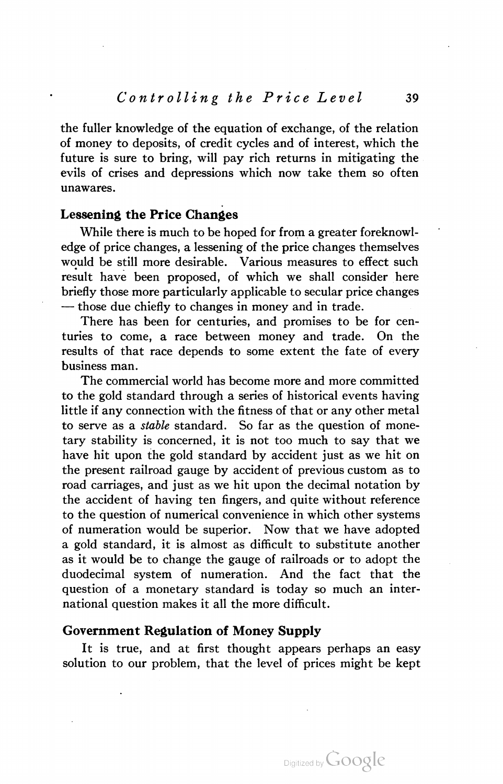the fuller knowledge of the equation of exchange, of the relation of money to deposits, of credit cycles and of interest, which the future is sure to bring, will pay rich returns in mitigating the evils of crises and depressions which now take them so often unawares.

#### Lessening the Price Changes

While there is much to be hoped for from a greater foreknowl edge of price changes, a lessening of the price changes themselves would be still more desirable. Various measures to effect such result have been proposed, of which we shall consider here briefly those more particularly applicable to secular price changes — those due chiefly to changes in money and in trade.

There has been for centuries, and promises to be for cen turies to come, a race between money and trade. On the results of that race depends to some extent the fate of every business man.

The commercial world has become more and more committed to the gold standard through a series of historical events having little if any connection with the fitness of that or any other metal to serve as a stable standard. So far as the question of mone tary stability is concerned, it is not too much to say that we have hit upon the gold standard by accident just as we hit on the present railroad gauge by accident of previous custom as to road carriages, and just as we hit upon the decimal notation by the accident of having ten fingers, and quite without reference to the question of numerical convenience in which other systems of numeration would be superior. Now that we have adopted a gold standard, it is almost as difficult to substitute another as it would be to change the gauge of railroads or to adopt the duodecimal system of numeration. And the fact that the question of a monetary standard is today so much an inter national question makes it all the more difficult.

#### Government Regulation of Money Supply

It is true, and at first thought appears perhaps an easy solution to our problem, that the level of prices might be kept

Digitized by Google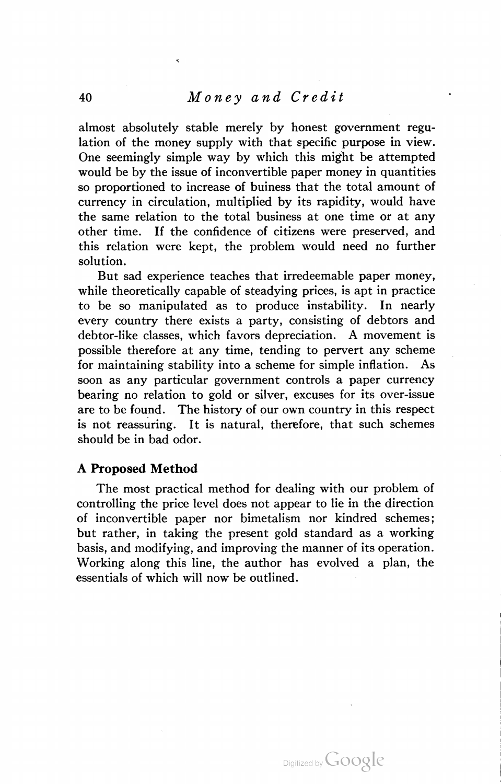almost absolutely stable merely by honest government regu lation of the money supply with that specific purpose in view. One seemingly simple way by which this might be attempted would be by the issue of inconvertible paper money in quantities so proportioned to increase of buiness that the total amount of currency in circulation, multiplied by its rapidity, would have the same relation to the total business at one time or at any other time. If the confidence of citizens were preserved, and this relation were kept, the problem would need no further solution.

But sad experience teaches that irredeemable paper money, while theoretically capable of steadying prices, is apt in practice to be so manipulated as to produce instability. In nearly every country there exists a party, consisting of debtors and debtor-like classes, which favors depreciation. A movement is possible therefore at any time, tending to pervert any scheme for maintaining stability into a scheme for simple inflation. As soon as any particular government controls a paper currency bearing no relation to gold or silver, excuses for its over-issue are to be found. The history of our own country in this respect is not reassuring. It is natural, therefore, that such schemes should be in bad odor.

#### A Proposed Method

The most practical method for dealing with our problem of controlling the price level does not appear to lie in the direction of inconvertible paper nor bimetalism nor kindred schemes; but rather, in taking the present gold standard as a working basis, and modifying, and improving the manner of its operation. Working along this line, the author has evolved a plan, the essentials of which will now be outlined.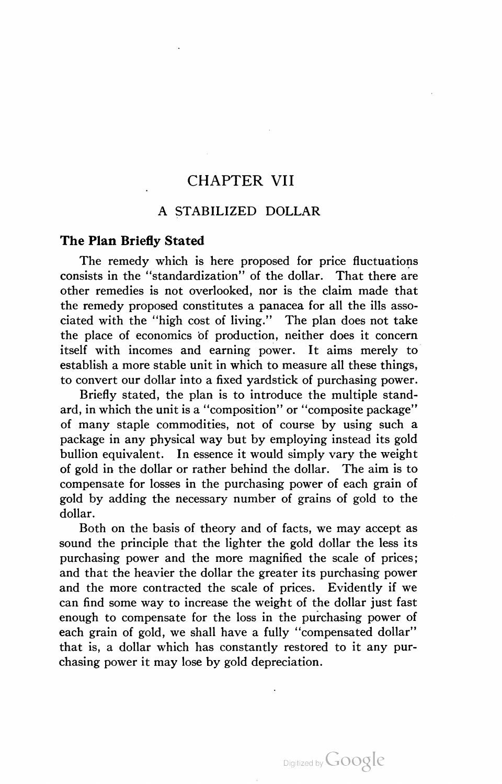# CHAPTER VII

#### A STABILIZED DOLLAR

#### The Plan Briefly Stated

The remedy which is here proposed for price fluctuations consists in the "standardization" of the dollar. That there are other remedies is not overlooked, nor is the claim made that the remedy proposed constitutes a panacea for all the ills asso ciated with the "high cost of living." The plan does not take the place of economics of production, neither does it concern itself with incomes and earning power. It aims merely to establish a more stable unit in which to measure all these things, to convert our dollar into a fixed yardstick of purchasing power.

Briefly stated, the plan is to introduce the multiple stand ard, in which the unit is a "composition" or "composite package" of many staple commodities, not of course by using such a package in any physical way but by employing instead its gold bullion equivalent. In essence it would simply vary the weight of gold in the dollar or rather behind the dollar. The aim is to compensate for losses in the purchasing power of each grain of gold by adding the necessary number of grains of gold to the dollar.

Both on the basis of theory and of facts, we may accept as sound the principle that the lighter the gold dollar the less its purchasing power and the more magnified the scale of prices; and that the heavier the dollar the greater its purchasing power and the more contracted the scale of prices. Evidently if we can find some way to increase the weight of the dollar just fast enough to compensate for the loss in the purchasing power of each grain of gold, we shall have a fully "compensated dollar" that is, a dollar which has constantly restored to it any pur chasing power it may lose by gold depreciation.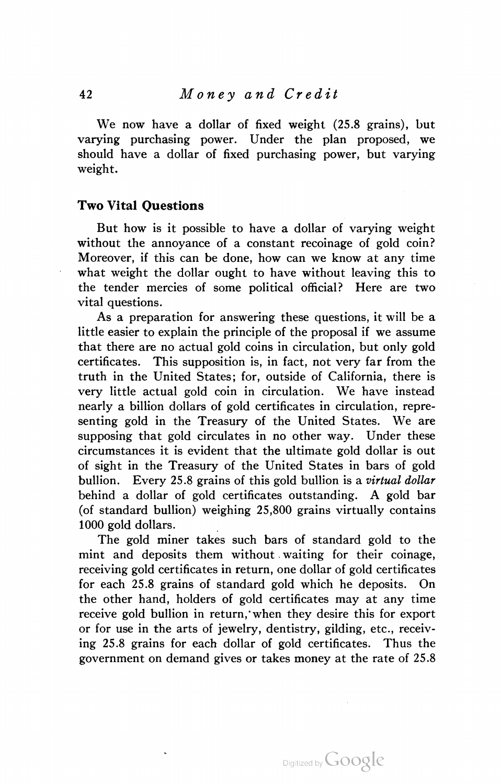We now have a dollar of fixed weight  $(25.8 \text{ grains})$ , but varying purchasing power. Under the plan proposed, we should have a dollar of fixed purchasing power, but varying weight.

#### Two Vital Questions

But how is it possible to have a dollar of varying weight without the annovance of a constant recoinage of gold coin? Moreover, if this can be done, how can we know at any time what weight the dollar ought to have without leaving this to the tender mercies of some political official? Here are two vital questions.

As a preparation for answering these questions, it will be a little easier to explain the principle of the proposal if we assume that there are no actual gold coins in circulation, but only gold certificates. This supposition is, in fact, not very far from the truth in the United States; for, outside of California, there is very little actual gold coin in circulation. We have instead nearly a billion dollars of gold certificates in circulation, repre senting gold in the Treasury of the United States. We are supposing that gold circulates in no other way. Under these circumstances it is evident that the ultimate gold dollar is out of sight in the Treasury of the United States in bars of gold bullion. Every 25.8 grains of this gold bullion is a virtual dollar behind <sup>a</sup> dollar of gold certificates outstanding. A gold bar (of standard bullion) weighing 25,800 grains virtually contains 1000 gold dollars. '

The gold miner takes such bars of standard gold to the mint and deposits them without waiting for their coinage, receiving gold certificates in return, one dollar of gold certificates for each 25.8 grains of standard gold which he deposits. On the other hand, holders of gold certificates may at any time receive gold bullion in return,'when they desire this for export or for use in the arts of jewelry, dentistry, gilding, etc., receiv ing 25.8 grains for each dollar of gold certificates. Thus the government on demand gives or takes money at the rate of 25.8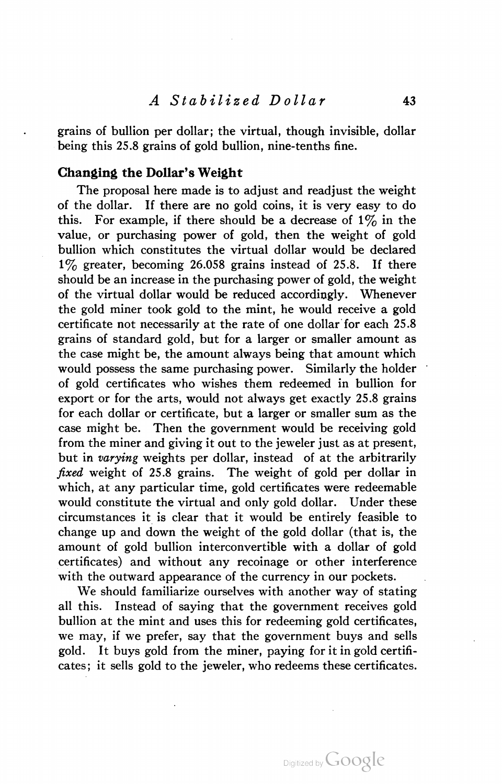grains of bullion per dollar; the virtual, though invisible, dollar being this 25.8 grains of gold bullion, nine-tenths fine.

#### Changing the Dollar's Weight

The proposal here made is to adjust and readjust the weight of the dollar. If there are no gold coins, it is very easy to do this. For example, if there should be a decrease of  $1\%$  in the value, or purchasing power of gold, then the weight of gold bullion which constitutes the virtual dollar would be declared  $1\%$  greater, becoming 26.058 grains instead of 25.8. If there should be an increase in the purchasing power of gold, the weight of the virtual dollar would be reduced accordingly. Whenever the gold miner took gold to the mint, he would receive a gold certificate not necessarily at the rate of one dollar for each 25.8 grains of standard gold, but for a larger or smaller amount as the case might be, the amount always being that amount which would possess the same purchasing power. Similarly the holder of gold certificates who wishes them redeemed in bullion for export or for the arts, would not always get exactly 25.8 grains for each dollar or certificate, but a larger or smaller sum as the case might be. Then the government would be receiving gold from the miner and giving it out to the jeweler just as at present, but in varying weights per dollar, instead of at the arbitrarily fixed weight of 25.8 grains. The weight of gold per dollar in which, at any particular time, gold certificates were redeemable would constitute the virtual and only gold dollar. Under these circumstances it is clear that it would be entirely feasible to change up and down the weight of the gold dollar (that is, the amount of gold bullion interconvertible with a dollar of gold certificates) and without any recoinage or other interference with the outward appearance of the currency in our pockets.

We should familiarize ourselves with another way of stating all this. Instead of saying that the government receives gold bullion at the mint and uses this for redeeming gold certificates, we may, if we prefer, say that the government buys and sells gold. It buys gold from the miner, paying for it in gold certifi cates; it sells gold to the jeweler, who redeems these certificates.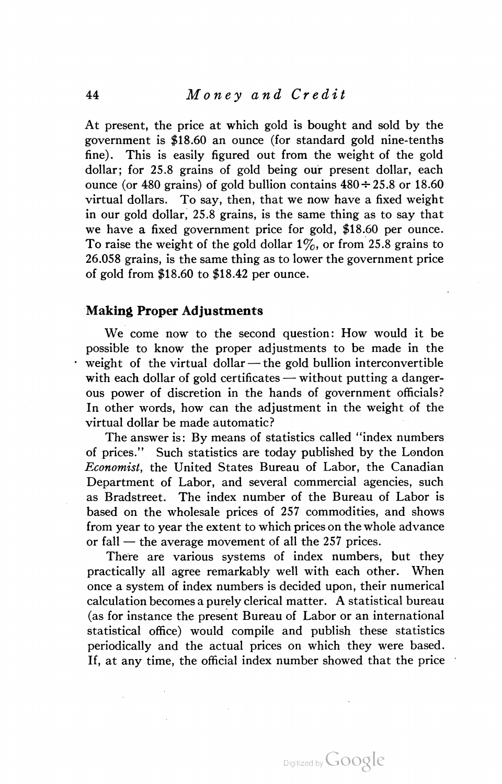At present, the price at which gold is bought and sold by the government is \$18.60 an ounce (for standard gold nine-tenths fine). This is easily figured out from the weight of the gold dollar; for 25.8 grains of gold being our present dollar, each ounce (or 480 grains) of gold bullion contains  $480 \div 25.8$  or 18.60 virtual dollars. To say, then, that we now have a fixed weight in our gold dollar, 25.8 grains, is the same thing as to say that we have a fixed government price for gold, \$18.60 per ounce. To raise the weight of the gold dollar  $1\%$ , or from 25.8 grains to 26.058 grains, is the same thing as to lower the government price of gold from \$18.60 to \$18.42 per ounce.

#### Making Proper Adjustments

We come now to the second question: How would it be possible to know the proper adjustments to be made in the weight of the virtual dollar — the gold bullion interconvertible<br>with each dollar of gold certificates — without putting a dangerous power of discretion in the hands of government officials? In other words, how can the adjustment in the weight of the virtual dollar be made automatic?

The answer is: By means of statistics called "index numbers of prices." Such statistics are today published by the London Economist, the United States Bureau of Labor, the Canadian Department of Labor, and several commercial agencies, such as Bradstreet. The index number of the Bureau of Labor is based on the wholesale prices of 257 commodities, and shows from year to year the extent to which prices on the whole advance or fall — the average movement of all the  $257$  prices.

There are various systems of index numbers, but they practically all agree remarkably well with each other. When once a system of index numbers is decided upon, their numerical calculation becomes <sup>a</sup> purely clerical matter. A statistical bureau (as for instance the present Bureau of Labor or an international statistical office) would compile and publish these statistics periodically and the actual prices on which they were based. If, at any time, the official index number showed that the price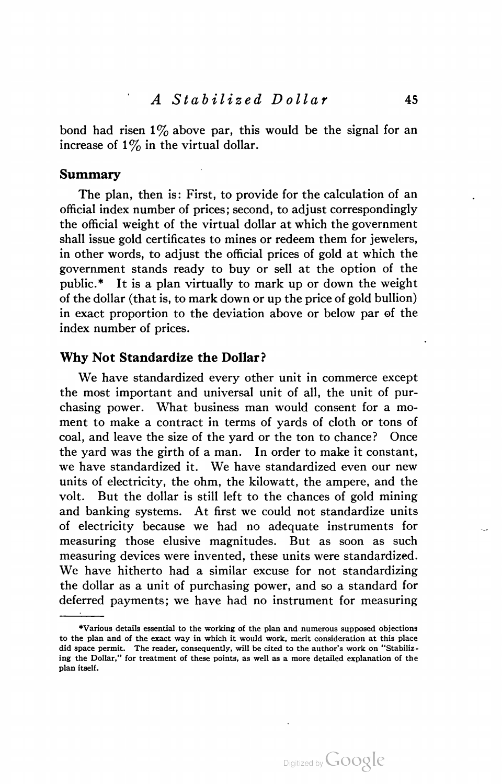bond had risen  $1\%$  above par, this would be the signal for an increase of  $1\%$  in the virtual dollar.

#### Summary

The plan, then is: First, to provide for the calculation of an official index number of prices; second, to adjust correspondingly the official weight of the virtual dollar at which the government shall issue gold certificates to mines or redeem them for jewelers, in other words, to adjust the official prices of gold at which the government stands ready to buy or sell at the option of the public.\* It is a plan virtually to mark up or down the weight of the dollar (that is, to mark down or up the price of gold bullion) in exact proportion to the deviation above or below par of the index number of prices.

#### Why Not Standardize the Dollar?

We have standardized every other unit in commerce except the most important and universal unit of all, the unit of pur chasing power. What business man would consent for a mo ment to make a contract in terms of yards of cloth or tons of coal, and leave the size of the yard or the ton to chance? Once the yard was the girth of a man. In order to make it constant, we have standardized it. We have standardized even our new units of electricity, the ohm, the kilowatt, the ampere, and the volt. But the dollar is still left to the chances of gold mining and banking systems. At first we could not standardize units of electricity because we had no adequate instruments for measuring those elusive magnitudes. But as soon as such measuring devices were invented, these units were standardized. We have hitherto had <sup>a</sup> similar excuse for not standardizing the dollar as a unit of purchasing power, and so a standard for deferred payments; we have had no instrument for measuring

<sup>\*</sup>Various details essential to the working of the plan and numerous supposed objections to the plan and of the exact way in which it would work. merit consideration at this place did space permit. The reader, consequently, will be cited to the author's work on "Stabilizing the Dollar," for treatment of these points, as well as a more detailed explanation of the plan itself.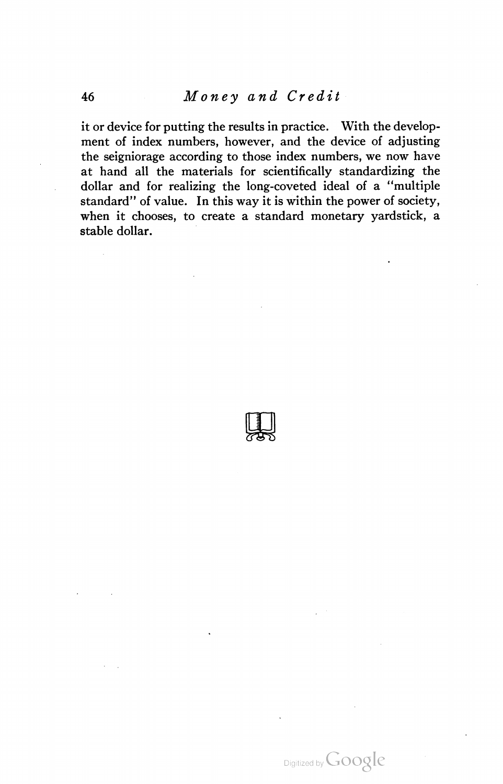it or device for putting the results in practice. With the develop ment of index numbers, however, and the device of adjusting the seigniorage according to those index numbers, we now have at hand all the materials for scientifically standardizing the dollar and for realizing the long-coveted ideal of a "multiple standard" of value. In this way it is within the power of society, when it chooses, to create a standard monetary yardstick, a stable dollar.



Digitized by Google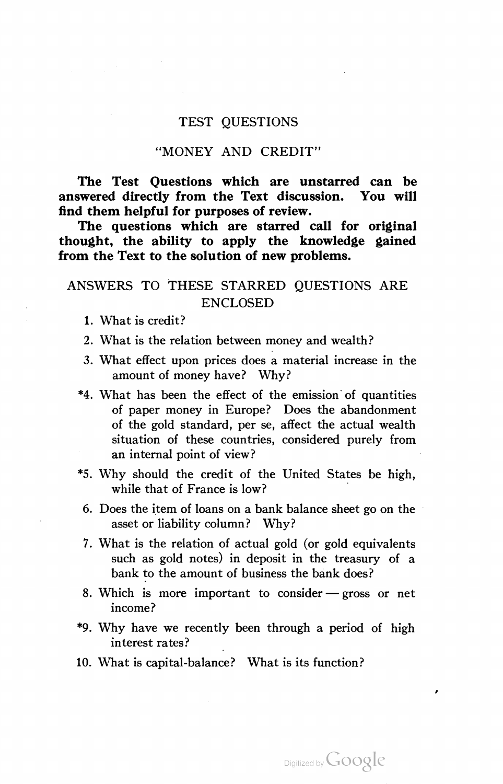#### TEST QUESTIONS

## "MONEY AND CREDIT"

The Test Questions which are unstarred can be answered directly from the Text discussion. You will find them helpful for purposes of review.

The questions which are starred call for original thought, the ability to apply the knowledge gained from the Text to the solution of new problems.

# ANSWERS TO THESE STARRED QUESTIONS ARE ENCLOSED

- 1. What is credit?
- . What is the relation between money and wealth?
- 3. What effect upon prices does a material increase in the amount of money have? Why?
- \*4. What has been the effect of the emission of quantities of paper money in Europe? Does the abandonment of the gold standard, per se, affect the actual wealth situation of these countries, considered purely from an internal point of view?
- \*5. Why should the credit of the United States be high, while that of France is low?
- Does the item of loans on a bank balance sheet go on the asset or liability column? Why?
- . What is the relation of actual gold (or gold equivalents such as gold notes) in deposit in the treasury of a bank to the amount of business the bank does?
- . Which is more important to consider—gross or net income ?
- \*9. Why have we recently been through a period of high interest rates?
- 10. What is capital-balance? What is its function?

Digitized by **GOOgle**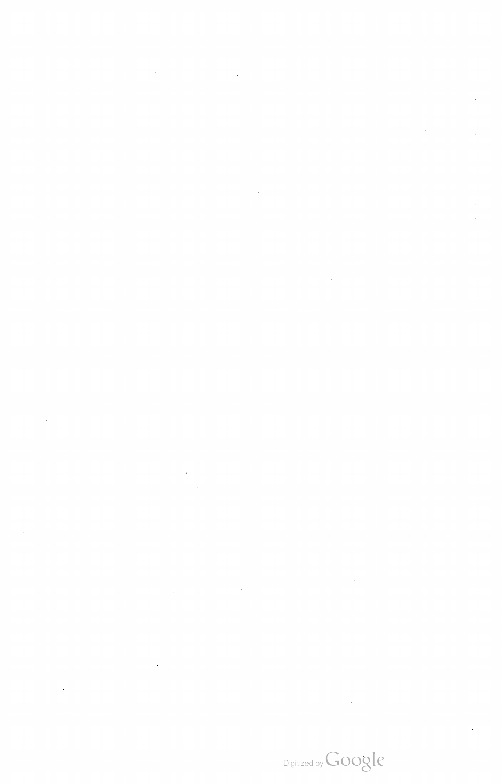Digitized by Google

 $\epsilon_{\rm{eff}}$ 

 $\label{eq:2.1} \frac{1}{\sqrt{2\pi}}\int_{0}^{\infty}\frac{1}{\sqrt{2\pi}}\left(\frac{1}{\sqrt{2\pi}}\right)^{2\alpha}d\mu\,d\mu.$ 

 $\frac{1}{2}$ 

 $\label{eq:2.1} \begin{split} \mathcal{L}_{\text{max}}(\mathcal{L}_{\text{max}}) = \mathcal{L}_{\text{max}}(\mathcal{L}_{\text{max}}) \,, \end{split}$ 

 $\label{eq:2.1} \frac{1}{\sqrt{2\pi}}\left(\frac{1}{\sqrt{2\pi}}\right)^{2} \left(\frac{1}{\sqrt{2\pi}}\right)^{2} \left(\frac{1}{\sqrt{2\pi}}\right)^{2} \left(\frac{1}{\sqrt{2\pi}}\right)^{2} \left(\frac{1}{\sqrt{2\pi}}\right)^{2} \left(\frac{1}{\sqrt{2\pi}}\right)^{2} \left(\frac{1}{\sqrt{2\pi}}\right)^{2} \left(\frac{1}{\sqrt{2\pi}}\right)^{2} \left(\frac{1}{\sqrt{2\pi}}\right)^{2} \left(\frac{1}{\sqrt{2\pi}}\right)^{2$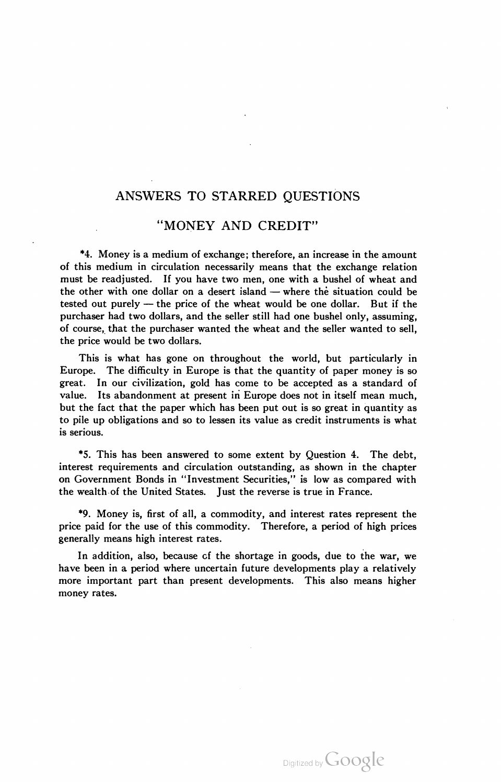#### ANSWERS TO STARRED QUESTIONS

# "MONEY AND CREDIT"

\*4. Money is a medium of exchange; therefore, an increase in the amount of this medium in circulation necessarily means that the exchange relation must be readjusted. If you have two men, one with a bushel of wheat and the other with one dollar on <sup>a</sup> desert island — where the situation could be tested out purely — the price of the wheat would be one dollar. But if the purchaser had two dollars, and the seller still had one bushel only, assuming, of course, that the purchaser wanted the wheat and the seller wanted to sell, the price would be two dollars.

This is what has gone on throughout the world, but particularly in Europe. The difficulty in Europe is that the quantity of paper money is so great. In our civilization, gold has come to be accepted as a standard of value. Its abandonment at present in Europe does not in itself mean much, but the fact that the paper which has been put out is so great in quantity as to pile up obligations and so to lessen its value as credit instruments is what is serious.

\*5. This has been answered to some extent by Question 4. The debt, interest requirements and circulation outstanding, as shown in the chapter on Government Bonds in "Investment Securities," is low as compared with the wealth of the United States. Just the reverse is true in France.

\*9. Money is, first of all, a commodity, and interest rates represent the price paid for the use of this commodity. Therefore, a period of high prices generally means high interest rates.

In addition, also, because of the shortage in goods, due to the war, we have been in a period where uncertain future developments play a relatively more important part than present developments. This also means higher money rates.

Digitized by Google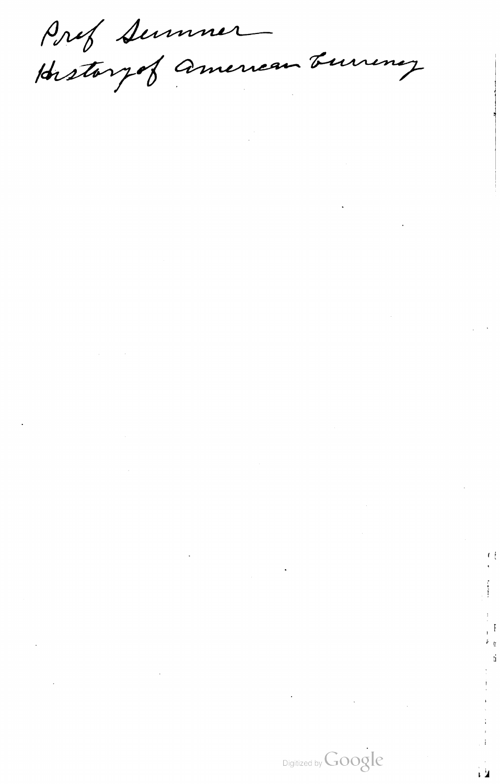Pref Semmer Historyof american buring

 $\mathcal{L}^{\text{max}}_{\text{max}}$  and  $\mathcal{L}^{\text{max}}_{\text{max}}$ 

 $\sim 40\,$  km  $^{-1}$ 

 $\mathcal{L}^{\text{max}}_{\text{max}}$  and  $\mathcal{L}^{\text{max}}_{\text{max}}$ 

Digitized by Google

 $\label{eq:2.1} \mathcal{L}^{\text{max}}_{\text{max}} = \mathcal{L}^{\text{max}}_{\text{max}} = \mathcal{L}^{\text{max}}_{\text{max}}$ 

 $\label{eq:2.1} \frac{1}{\sqrt{2\pi}}\int_{\mathbb{R}^3}\frac{1}{\sqrt{2\pi}}\left(\frac{1}{\sqrt{2\pi}}\right)^2\frac{1}{\sqrt{2\pi}}\int_{\mathbb{R}^3}\frac{1}{\sqrt{2\pi}}\frac{1}{\sqrt{2\pi}}\frac{1}{\sqrt{2\pi}}\frac{1}{\sqrt{2\pi}}\frac{1}{\sqrt{2\pi}}\frac{1}{\sqrt{2\pi}}\frac{1}{\sqrt{2\pi}}\frac{1}{\sqrt{2\pi}}\frac{1}{\sqrt{2\pi}}\frac{1}{\sqrt{2\pi}}\frac{1}{\sqrt{2\pi}}\frac{$ 

 $\mathcal{A}^{\text{max}}_{\text{max}}$ 

 $\mathcal{L}^{\text{max}}_{\text{max}}$ 

 $\frac{1}{\sqrt{2}}$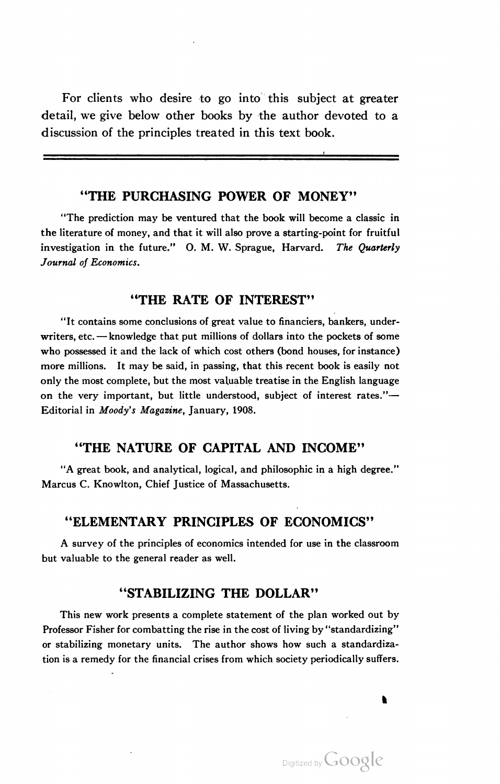For clients who desire to go into"this subject at greater detail, we give below other books by the author devoted to a discussion of the principles treated in this text book.

# "THE PURCHASING POWER OF MONEY"

"The prediction may be ventured that the book will become a classic in the literature of money, and that it will also prove a starting-point for fruitful investigation in the future." O. M. W. Sprague, Harvard. The Quarterly Journal of Economics.

# "THE RATE OF INTEREST"

"It contains some conclusions of great value to financiers, bankers, under writers, etc.  $-$  knowledge that put millions of dollars into the pockets of some who possessed it and the lack of which cost others (bond houses, for instance) more millions. It may be said, in passing, that this recent book is easily not only the most complete, but the most valuable treatise in the English language on the very important, but little understood, subject of interest rates." Editorial in Moody's Magazine, January, 1908.

#### "THE NATURE OF CAPITAL AND INCOME"

"A great book, and analytical, logical, and philosophic in a high degree." Marcus C. Knowlton, Chief Justice of Massachusetts.

#### "ELEMENTARY PRINCIPLES OF ECONOMICS"

A survey of the principles of economics intended for use in the classroom but valuable to the general reader as well.

## "STABILIZING THE DOLLAR"

This new work presents a complete statement of the plan worked out by Professor Fisher for combatting the rise in the cost of living by "standardizing" or stabilizing monetary units. The author shows how such a standardiza tion is a remedy for the financial crises from which society periodically suffers.

ŧ